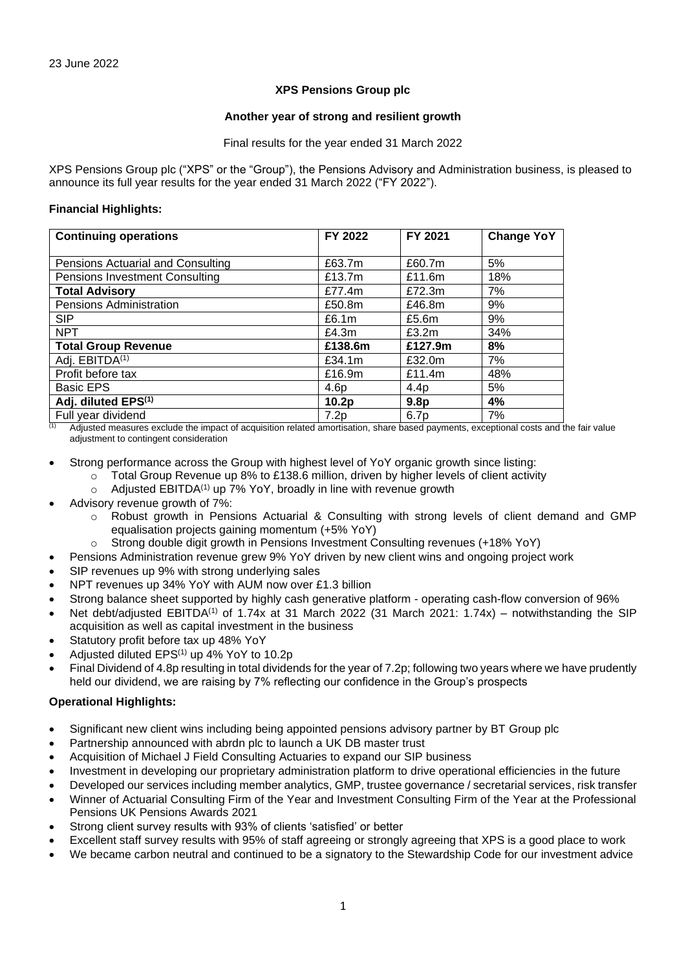# **XPS Pensions Group plc**

### **Another year of strong and resilient growth**

Final results for the year ended 31 March 2022

XPS Pensions Group plc ("XPS" or the "Group"), the Pensions Advisory and Administration business, is pleased to announce its full year results for the year ended 31 March 2022 ("FY 2022").

# **Financial Highlights:**

| <b>Continuing operations</b>          | FY 2022          | FY 2021          | <b>Change YoY</b> |
|---------------------------------------|------------------|------------------|-------------------|
|                                       |                  |                  |                   |
| Pensions Actuarial and Consulting     | £63.7m           | £60.7m           | 5%                |
| <b>Pensions Investment Consulting</b> | £13.7m           | £11.6m           | 18%               |
| <b>Total Advisory</b>                 | £77.4m           | £72.3m           | 7%                |
| Pensions Administration               | £50.8m           | £46.8m           | 9%                |
| <b>SIP</b>                            | £6.1m            | £5.6m            | 9%                |
| <b>NPT</b>                            | £4.3m            | £3.2m            | 34%               |
| <b>Total Group Revenue</b>            | £138.6m          | £127.9m          | 8%                |
| Adj. EBITDA <sup>(1)</sup>            | £34.1m           | £32.0m           | 7%                |
| Profit before tax                     | £16.9m           | £11.4m           | 48%               |
| <b>Basic EPS</b>                      | 4.6 <sub>p</sub> | 4.4 <sub>p</sub> | 5%                |
| Adj. diluted EPS <sup>(1)</sup>       | 10.2p            | 9.8 <sub>p</sub> | 4%                |
| Full year dividend                    | 7.2p             | 6.7p             | 7%                |

 $\frac{1}{10}$  Adjusted measures exclude the impact of acquisition related amortisation, share based payments, exceptional costs and the fair value adjustment to contingent consideration

Strong performance across the Group with highest level of YoY organic growth since listing:

- Total Group Revenue up 8% to £138.6 million, driven by higher levels of client activity
- $\circ$  Adjusted EBITDA<sup>(1)</sup> up 7% YoY, broadly in line with revenue growth
- Advisory revenue growth of 7%:
	- Robust growth in Pensions Actuarial & Consulting with strong levels of client demand and GMP equalisation projects gaining momentum (+5% YoY)
	- Strong double digit growth in Pensions Investment Consulting revenues (+18% YoY)
- Pensions Administration revenue grew 9% YoY driven by new client wins and ongoing project work
- SIP revenues up 9% with strong underlying sales
- NPT revenues up 34% YoY with AUM now over £1.3 billion
- Strong balance sheet supported by highly cash generative platform operating cash-flow conversion of 96%
- Net debt/adjusted EBITDA<sup>(1)</sup> of 1.74x at 31 March 2022 (31 March 2021: 1.74x) notwithstanding the SIP acquisition as well as capital investment in the business
- Statutory profit before tax up 48% YoY
- Adjusted diluted EPS(1) up 4% YoY to 10.2p
- Final Dividend of 4.8p resulting in total dividends for the year of 7.2p; following two years where we have prudently held our dividend, we are raising by 7% reflecting our confidence in the Group's prospects

# **Operational Highlights:**

- Significant new client wins including being appointed pensions advisory partner by BT Group plc
- Partnership announced with abrdn plc to launch a UK DB master trust
- Acquisition of Michael J Field Consulting Actuaries to expand our SIP business
- Investment in developing our proprietary administration platform to drive operational efficiencies in the future
- Developed our services including member analytics, GMP, trustee governance / secretarial services, risk transfer
- Winner of Actuarial Consulting Firm of the Year and Investment Consulting Firm of the Year at the Professional Pensions UK Pensions Awards 2021
- Strong client survey results with 93% of clients 'satisfied' or better
- Excellent staff survey results with 95% of staff agreeing or strongly agreeing that XPS is a good place to work
- We became carbon neutral and continued to be a signatory to the Stewardship Code for our investment advice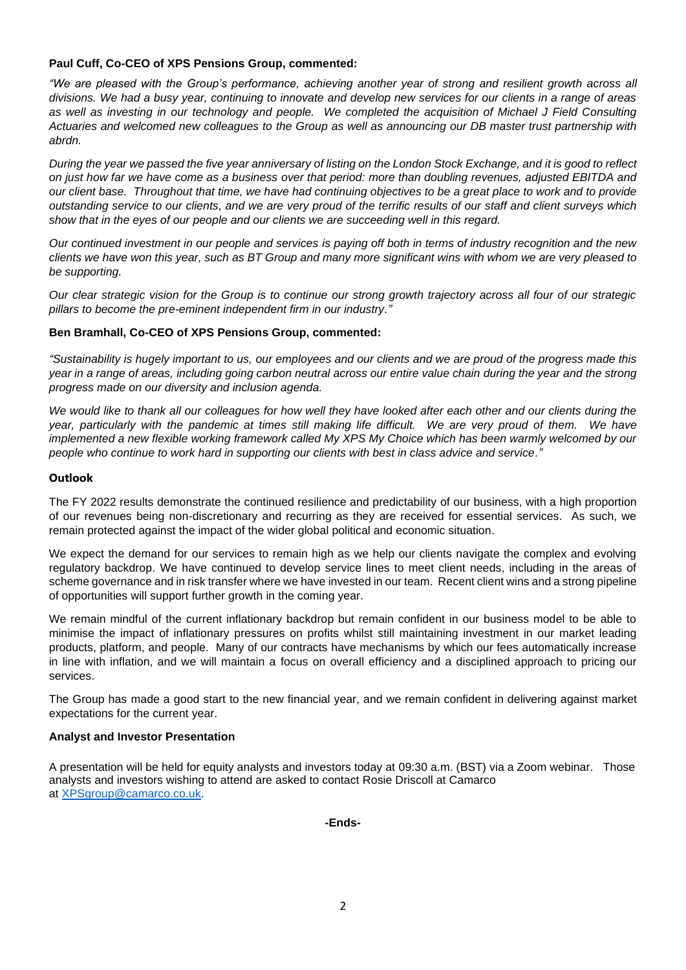# **Paul Cuff, Co-CEO of XPS Pensions Group, commented:**

*"We are pleased with the Group's performance, achieving another year of strong and resilient growth across all divisions. We had a busy year, continuing to innovate and develop new services for our clients in a range of areas as well as investing in our technology and people. We completed the acquisition of Michael J Field Consulting Actuaries and welcomed new colleagues to the Group as well as announcing our DB master trust partnership with abrdn.*

*During the year we passed the five year anniversary of listing on the London Stock Exchange, and it is good to reflect on just how far we have come as a business over that period: more than doubling revenues, adjusted EBITDA and our client base. Throughout that time, we have had continuing objectives to be a great place to work and to provide outstanding service to our clients, and we are very proud of the terrific results of our staff and client surveys which show that in the eyes of our people and our clients we are succeeding well in this regard.* 

*Our continued investment in our people and services is paying off both in terms of industry recognition and the new clients we have won this year, such as BT Group and many more significant wins with whom we are very pleased to be supporting.*

*Our clear strategic vision for the Group is to continue our strong growth trajectory across all four of our strategic pillars to become the pre-eminent independent firm in our industry."*

# **Ben Bramhall, Co-CEO of XPS Pensions Group, commented:**

*"Sustainability is hugely important to us, our employees and our clients and we are proud of the progress made this year in a range of areas, including going carbon neutral across our entire value chain during the year and the strong progress made on our diversity and inclusion agenda.*

*We would like to thank all our colleagues for how well they have looked after each other and our clients during the year, particularly with the pandemic at times still making life difficult. We are very proud of them. We have implemented a new flexible working framework called My XPS My Choice which has been warmly welcomed by our people who continue to work hard in supporting our clients with best in class advice and service."*

# **Outlook**

The FY 2022 results demonstrate the continued resilience and predictability of our business, with a high proportion of our revenues being non-discretionary and recurring as they are received for essential services. As such, we remain protected against the impact of the wider global political and economic situation.

We expect the demand for our services to remain high as we help our clients navigate the complex and evolving regulatory backdrop. We have continued to develop service lines to meet client needs, including in the areas of scheme governance and in risk transfer where we have invested in our team. Recent client wins and a strong pipeline of opportunities will support further growth in the coming year.

We remain mindful of the current inflationary backdrop but remain confident in our business model to be able to minimise the impact of inflationary pressures on profits whilst still maintaining investment in our market leading products, platform, and people. Many of our contracts have mechanisms by which our fees automatically increase in line with inflation, and we will maintain a focus on overall efficiency and a disciplined approach to pricing our services.

The Group has made a good start to the new financial year, and we remain confident in delivering against market expectations for the current year.

# **Analyst and Investor Presentation**

A presentation will be held for equity analysts and investors today at 09:30 a.m. (BST) via a Zoom webinar. Those analysts and investors wishing to attend are asked to contact Rosie Driscoll at Camarco at [XPSgroup@camarco.co.uk.](mailto:rosie.driscoll@camarco.co.uk)

**-Ends-**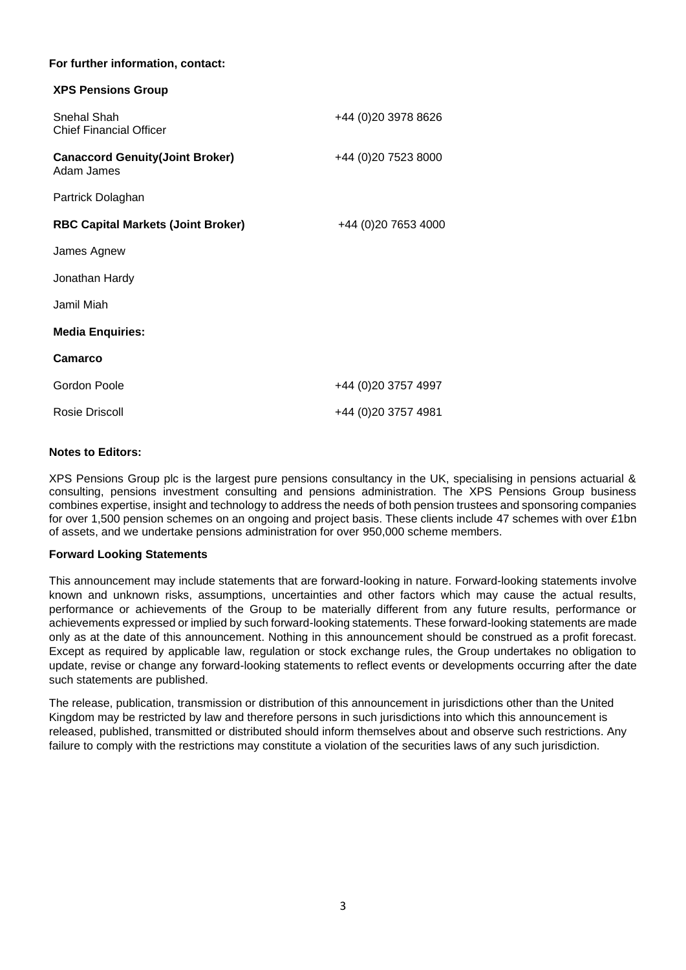# **For further information, contact:**

| <b>XPS Pensions Group</b>                             |                      |
|-------------------------------------------------------|----------------------|
| <b>Snehal Shah</b><br><b>Chief Financial Officer</b>  | +44 (0) 20 3978 8626 |
| <b>Canaccord Genuity (Joint Broker)</b><br>Adam James | +44 (0) 20 7523 8000 |
| Partrick Dolaghan                                     |                      |
| <b>RBC Capital Markets (Joint Broker)</b>             | +44 (0)20 7653 4000  |
| James Agnew                                           |                      |
| Jonathan Hardy                                        |                      |
| Jamil Miah                                            |                      |
| <b>Media Enquiries:</b>                               |                      |
| Camarco                                               |                      |
| Gordon Poole                                          | +44 (0)20 3757 4997  |
| Rosie Driscoll                                        | +44 (0)20 3757 4981  |

# **Notes to Editors:**

XPS Pensions Group plc is the largest pure pensions consultancy in the UK, specialising in pensions actuarial & consulting, pensions investment consulting and pensions administration. The XPS Pensions Group business combines expertise, insight and technology to address the needs of both pension trustees and sponsoring companies for over 1,500 pension schemes on an ongoing and project basis. These clients include 47 schemes with over £1bn of assets, and we undertake pensions administration for over 950,000 scheme members.

### **Forward Looking Statements**

This announcement may include statements that are forward-looking in nature. Forward-looking statements involve known and unknown risks, assumptions, uncertainties and other factors which may cause the actual results, performance or achievements of the Group to be materially different from any future results, performance or achievements expressed or implied by such forward-looking statements. These forward-looking statements are made only as at the date of this announcement. Nothing in this announcement should be construed as a profit forecast. Except as required by applicable law, regulation or stock exchange rules, the Group undertakes no obligation to update, revise or change any forward-looking statements to reflect events or developments occurring after the date such statements are published.

The release, publication, transmission or distribution of this announcement in jurisdictions other than the United Kingdom may be restricted by law and therefore persons in such jurisdictions into which this announcement is released, published, transmitted or distributed should inform themselves about and observe such restrictions. Any failure to comply with the restrictions may constitute a violation of the securities laws of any such jurisdiction.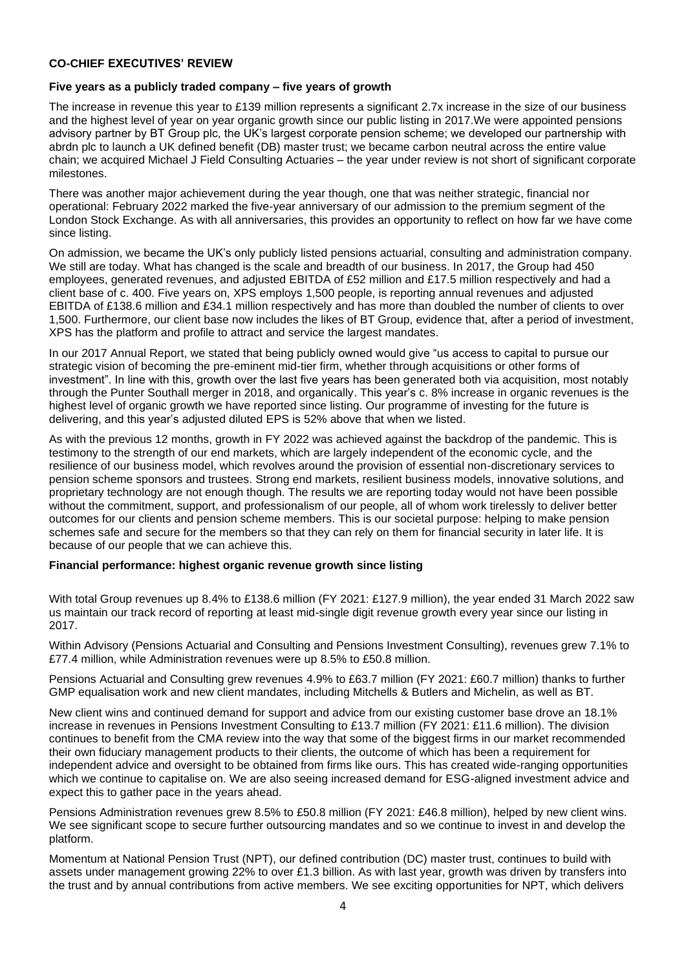# **CO-CHIEF EXECUTIVES' REVIEW**

# **Five years as a publicly traded company – five years of growth**

The increase in revenue this year to £139 million represents a significant 2.7x increase in the size of our business and the highest level of year on year organic growth since our public listing in 2017.We were appointed pensions advisory partner by BT Group plc, the UK's largest corporate pension scheme; we developed our partnership with abrdn plc to launch a UK defined benefit (DB) master trust; we became carbon neutral across the entire value chain; we acquired Michael J Field Consulting Actuaries – the year under review is not short of significant corporate milestones.

There was another major achievement during the year though, one that was neither strategic, financial nor operational: February 2022 marked the five-year anniversary of our admission to the premium segment of the London Stock Exchange. As with all anniversaries, this provides an opportunity to reflect on how far we have come since listing.

On admission, we became the UK's only publicly listed pensions actuarial, consulting and administration company. We still are today. What has changed is the scale and breadth of our business. In 2017, the Group had 450 employees, generated revenues, and adjusted EBITDA of £52 million and £17.5 million respectively and had a client base of c. 400. Five years on, XPS employs 1,500 people, is reporting annual revenues and adjusted EBITDA of £138.6 million and £34.1 million respectively and has more than doubled the number of clients to over 1,500. Furthermore, our client base now includes the likes of BT Group, evidence that, after a period of investment, XPS has the platform and profile to attract and service the largest mandates.

In our 2017 Annual Report, we stated that being publicly owned would give "us access to capital to pursue our strategic vision of becoming the pre-eminent mid-tier firm, whether through acquisitions or other forms of investment". In line with this, growth over the last five years has been generated both via acquisition, most notably through the Punter Southall merger in 2018, and organically. This year's c. 8% increase in organic revenues is the highest level of organic growth we have reported since listing. Our programme of investing for the future is delivering, and this year's adjusted diluted EPS is 52% above that when we listed.

As with the previous 12 months, growth in FY 2022 was achieved against the backdrop of the pandemic. This is testimony to the strength of our end markets, which are largely independent of the economic cycle, and the resilience of our business model, which revolves around the provision of essential non-discretionary services to pension scheme sponsors and trustees. Strong end markets, resilient business models, innovative solutions, and proprietary technology are not enough though. The results we are reporting today would not have been possible without the commitment, support, and professionalism of our people, all of whom work tirelessly to deliver better outcomes for our clients and pension scheme members. This is our societal purpose: helping to make pension schemes safe and secure for the members so that they can rely on them for financial security in later life. It is because of our people that we can achieve this.

### **Financial performance: highest organic revenue growth since listing**

With total Group revenues up 8.4% to £138.6 million (FY 2021: £127.9 million), the year ended 31 March 2022 saw us maintain our track record of reporting at least mid-single digit revenue growth every year since our listing in 2017.

Within Advisory (Pensions Actuarial and Consulting and Pensions Investment Consulting), revenues grew 7.1% to £77.4 million, while Administration revenues were up 8.5% to £50.8 million.

Pensions Actuarial and Consulting grew revenues 4.9% to £63.7 million (FY 2021: £60.7 million) thanks to further GMP equalisation work and new client mandates, including Mitchells & Butlers and Michelin, as well as BT.

New client wins and continued demand for support and advice from our existing customer base drove an 18.1% increase in revenues in Pensions Investment Consulting to £13.7 million (FY 2021: £11.6 million). The division continues to benefit from the CMA review into the way that some of the biggest firms in our market recommended their own fiduciary management products to their clients, the outcome of which has been a requirement for independent advice and oversight to be obtained from firms like ours. This has created wide-ranging opportunities which we continue to capitalise on. We are also seeing increased demand for ESG-aligned investment advice and expect this to gather pace in the years ahead.

Pensions Administration revenues grew 8.5% to £50.8 million (FY 2021: £46.8 million), helped by new client wins. We see significant scope to secure further outsourcing mandates and so we continue to invest in and develop the platform.

Momentum at National Pension Trust (NPT), our defined contribution (DC) master trust, continues to build with assets under management growing 22% to over £1.3 billion. As with last year, growth was driven by transfers into the trust and by annual contributions from active members. We see exciting opportunities for NPT, which delivers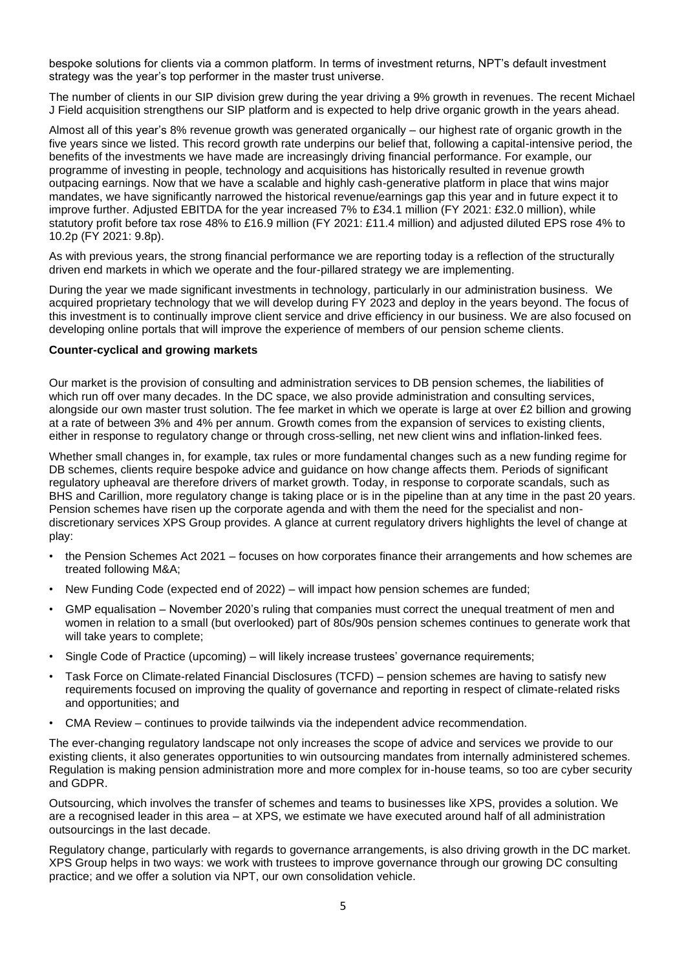bespoke solutions for clients via a common platform. In terms of investment returns, NPT's default investment strategy was the year's top performer in the master trust universe.

The number of clients in our SIP division grew during the year driving a 9% growth in revenues. The recent Michael J Field acquisition strengthens our SIP platform and is expected to help drive organic growth in the years ahead.

Almost all of this year's 8% revenue growth was generated organically – our highest rate of organic growth in the five years since we listed. This record growth rate underpins our belief that, following a capital-intensive period, the benefits of the investments we have made are increasingly driving financial performance. For example, our programme of investing in people, technology and acquisitions has historically resulted in revenue growth outpacing earnings. Now that we have a scalable and highly cash-generative platform in place that wins major mandates, we have significantly narrowed the historical revenue/earnings gap this year and in future expect it to improve further. Adjusted EBITDA for the year increased 7% to £34.1 million (FY 2021: £32.0 million), while statutory profit before tax rose 48% to £16.9 million (FY 2021: £11.4 million) and adjusted diluted EPS rose 4% to 10.2p (FY 2021: 9.8p).

As with previous years, the strong financial performance we are reporting today is a reflection of the structurally driven end markets in which we operate and the four-pillared strategy we are implementing.

During the year we made significant investments in technology, particularly in our administration business. We acquired proprietary technology that we will develop during FY 2023 and deploy in the years beyond. The focus of this investment is to continually improve client service and drive efficiency in our business. We are also focused on developing online portals that will improve the experience of members of our pension scheme clients.

# **Counter-cyclical and growing markets**

Our market is the provision of consulting and administration services to DB pension schemes, the liabilities of which run off over many decades. In the DC space, we also provide administration and consulting services, alongside our own master trust solution. The fee market in which we operate is large at over £2 billion and growing at a rate of between 3% and 4% per annum. Growth comes from the expansion of services to existing clients, either in response to regulatory change or through cross-selling, net new client wins and inflation-linked fees.

Whether small changes in, for example, tax rules or more fundamental changes such as a new funding regime for DB schemes, clients require bespoke advice and quidance on how change affects them. Periods of significant regulatory upheaval are therefore drivers of market growth. Today, in response to corporate scandals, such as BHS and Carillion, more regulatory change is taking place or is in the pipeline than at any time in the past 20 years. Pension schemes have risen up the corporate agenda and with them the need for the specialist and nondiscretionary services XPS Group provides. A glance at current regulatory drivers highlights the level of change at play:

- the Pension Schemes Act 2021 focuses on how corporates finance their arrangements and how schemes are treated following M&A;
- New Funding Code (expected end of 2022) will impact how pension schemes are funded;
- GMP equalisation November 2020's ruling that companies must correct the unequal treatment of men and women in relation to a small (but overlooked) part of 80s/90s pension schemes continues to generate work that will take years to complete;
- Single Code of Practice (upcoming) will likely increase trustees' governance requirements;
- Task Force on Climate-related Financial Disclosures (TCFD) pension schemes are having to satisfy new requirements focused on improving the quality of governance and reporting in respect of climate-related risks and opportunities; and
- CMA Review continues to provide tailwinds via the independent advice recommendation.

The ever-changing regulatory landscape not only increases the scope of advice and services we provide to our existing clients, it also generates opportunities to win outsourcing mandates from internally administered schemes. Regulation is making pension administration more and more complex for in-house teams, so too are cyber security and GDPR.

Outsourcing, which involves the transfer of schemes and teams to businesses like XPS, provides a solution. We are a recognised leader in this area – at XPS, we estimate we have executed around half of all administration outsourcings in the last decade.

Regulatory change, particularly with regards to governance arrangements, is also driving growth in the DC market. XPS Group helps in two ways: we work with trustees to improve governance through our growing DC consulting practice; and we offer a solution via NPT, our own consolidation vehicle.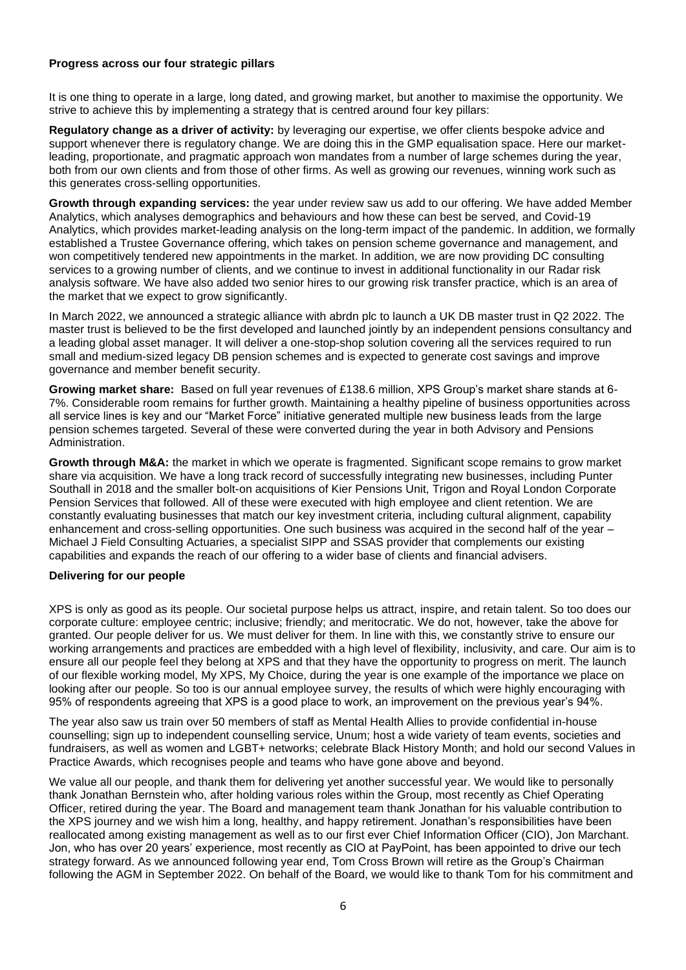# **Progress across our four strategic pillars**

It is one thing to operate in a large, long dated, and growing market, but another to maximise the opportunity. We strive to achieve this by implementing a strategy that is centred around four key pillars:

**Regulatory change as a driver of activity:** by leveraging our expertise, we offer clients bespoke advice and support whenever there is regulatory change. We are doing this in the GMP equalisation space. Here our marketleading, proportionate, and pragmatic approach won mandates from a number of large schemes during the year, both from our own clients and from those of other firms. As well as growing our revenues, winning work such as this generates cross-selling opportunities.

**Growth through expanding services:** the year under review saw us add to our offering. We have added Member Analytics, which analyses demographics and behaviours and how these can best be served, and Covid-19 Analytics, which provides market-leading analysis on the long-term impact of the pandemic. In addition, we formally established a Trustee Governance offering, which takes on pension scheme governance and management, and won competitively tendered new appointments in the market. In addition, we are now providing DC consulting services to a growing number of clients, and we continue to invest in additional functionality in our Radar risk analysis software. We have also added two senior hires to our growing risk transfer practice, which is an area of the market that we expect to grow significantly.

In March 2022, we announced a strategic alliance with abrdn plc to launch a UK DB master trust in Q2 2022. The master trust is believed to be the first developed and launched jointly by an independent pensions consultancy and a leading global asset manager. It will deliver a one-stop-shop solution covering all the services required to run small and medium-sized legacy DB pension schemes and is expected to generate cost savings and improve governance and member benefit security.

**Growing market share:** Based on full year revenues of £138.6 million, XPS Group's market share stands at 6- 7%. Considerable room remains for further growth. Maintaining a healthy pipeline of business opportunities across all service lines is key and our "Market Force" initiative generated multiple new business leads from the large pension schemes targeted. Several of these were converted during the year in both Advisory and Pensions Administration.

**Growth through M&A:** the market in which we operate is fragmented. Significant scope remains to grow market share via acquisition. We have a long track record of successfully integrating new businesses, including Punter Southall in 2018 and the smaller bolt-on acquisitions of Kier Pensions Unit, Trigon and Royal London Corporate Pension Services that followed. All of these were executed with high employee and client retention. We are constantly evaluating businesses that match our key investment criteria, including cultural alignment, capability enhancement and cross-selling opportunities. One such business was acquired in the second half of the year – Michael J Field Consulting Actuaries, a specialist SIPP and SSAS provider that complements our existing capabilities and expands the reach of our offering to a wider base of clients and financial advisers.

# **Delivering for our people**

XPS is only as good as its people. Our societal purpose helps us attract, inspire, and retain talent. So too does our corporate culture: employee centric; inclusive; friendly; and meritocratic. We do not, however, take the above for granted. Our people deliver for us. We must deliver for them. In line with this, we constantly strive to ensure our working arrangements and practices are embedded with a high level of flexibility, inclusivity, and care. Our aim is to ensure all our people feel they belong at XPS and that they have the opportunity to progress on merit. The launch of our flexible working model, My XPS, My Choice, during the year is one example of the importance we place on looking after our people. So too is our annual employee survey, the results of which were highly encouraging with 95% of respondents agreeing that XPS is a good place to work, an improvement on the previous year's 94%.

The year also saw us train over 50 members of staff as Mental Health Allies to provide confidential in-house counselling; sign up to independent counselling service, Unum; host a wide variety of team events, societies and fundraisers, as well as women and LGBT+ networks; celebrate Black History Month; and hold our second Values in Practice Awards, which recognises people and teams who have gone above and beyond.

We value all our people, and thank them for delivering yet another successful year. We would like to personally thank Jonathan Bernstein who, after holding various roles within the Group, most recently as Chief Operating Officer, retired during the year. The Board and management team thank Jonathan for his valuable contribution to the XPS journey and we wish him a long, healthy, and happy retirement. Jonathan's responsibilities have been reallocated among existing management as well as to our first ever Chief Information Officer (CIO), Jon Marchant. Jon, who has over 20 years' experience, most recently as CIO at PayPoint, has been appointed to drive our tech strategy forward. As we announced following year end, Tom Cross Brown will retire as the Group's Chairman following the AGM in September 2022. On behalf of the Board, we would like to thank Tom for his commitment and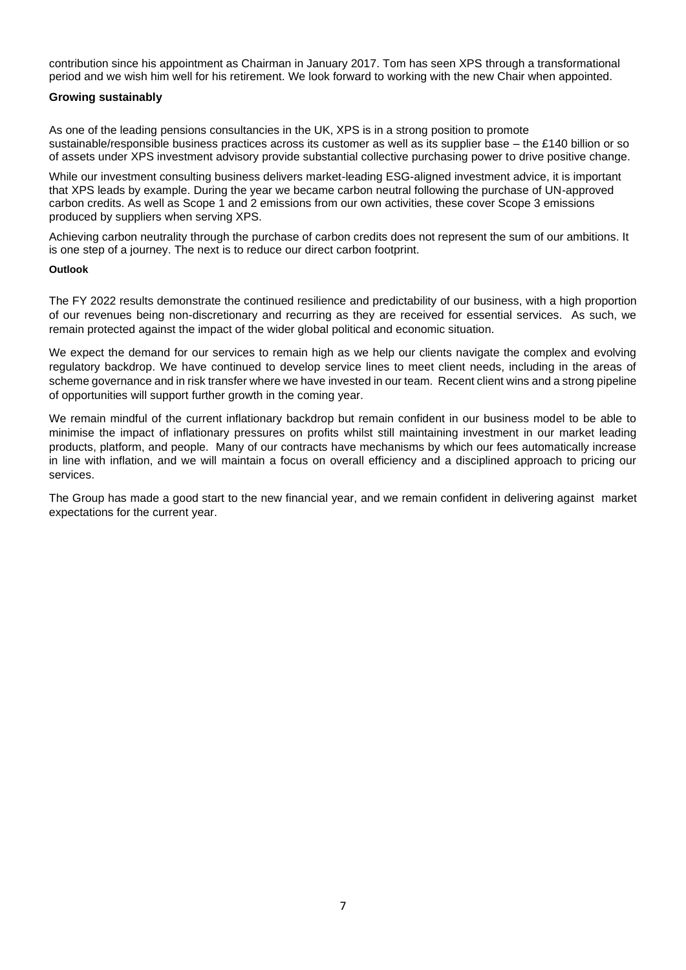contribution since his appointment as Chairman in January 2017. Tom has seen XPS through a transformational period and we wish him well for his retirement. We look forward to working with the new Chair when appointed.

# **Growing sustainably**

As one of the leading pensions consultancies in the UK, XPS is in a strong position to promote sustainable/responsible business practices across its customer as well as its supplier base – the £140 billion or so of assets under XPS investment advisory provide substantial collective purchasing power to drive positive change.

While our investment consulting business delivers market-leading ESG-aligned investment advice, it is important that XPS leads by example. During the year we became carbon neutral following the purchase of UN-approved carbon credits. As well as Scope 1 and 2 emissions from our own activities, these cover Scope 3 emissions produced by suppliers when serving XPS.

Achieving carbon neutrality through the purchase of carbon credits does not represent the sum of our ambitions. It is one step of a journey. The next is to reduce our direct carbon footprint.

### **Outlook**

The FY 2022 results demonstrate the continued resilience and predictability of our business, with a high proportion of our revenues being non-discretionary and recurring as they are received for essential services. As such, we remain protected against the impact of the wider global political and economic situation.

We expect the demand for our services to remain high as we help our clients navigate the complex and evolving regulatory backdrop. We have continued to develop service lines to meet client needs, including in the areas of scheme governance and in risk transfer where we have invested in our team. Recent client wins and a strong pipeline of opportunities will support further growth in the coming year.

We remain mindful of the current inflationary backdrop but remain confident in our business model to be able to minimise the impact of inflationary pressures on profits whilst still maintaining investment in our market leading products, platform, and people. Many of our contracts have mechanisms by which our fees automatically increase in line with inflation, and we will maintain a focus on overall efficiency and a disciplined approach to pricing our services.

The Group has made a good start to the new financial year, and we remain confident in delivering against market expectations for the current year.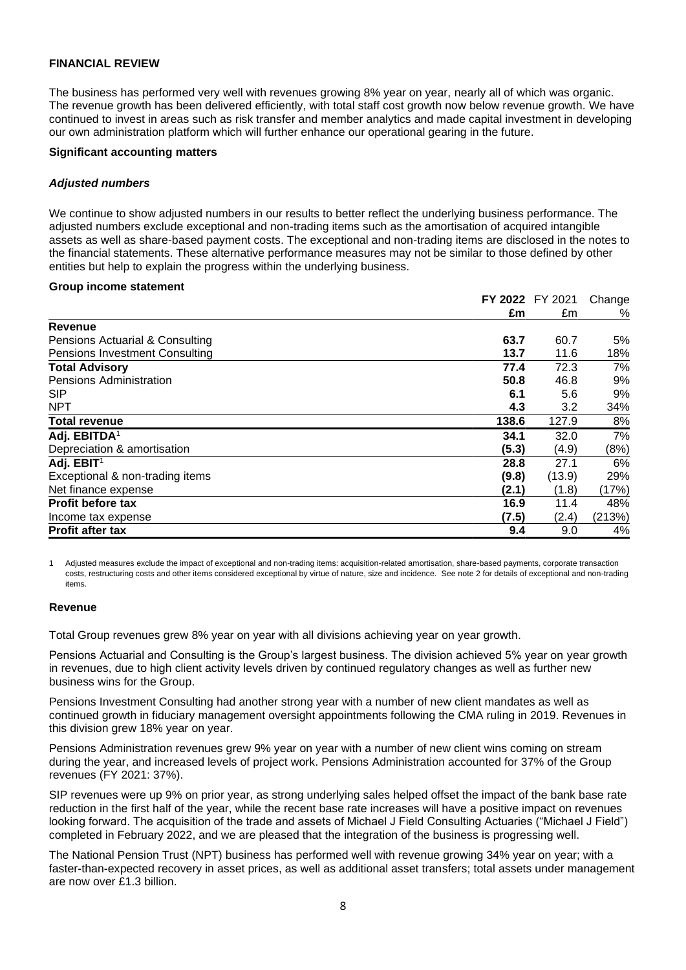# **FINANCIAL REVIEW**

The business has performed very well with revenues growing 8% year on year, nearly all of which was organic. The revenue growth has been delivered efficiently, with total staff cost growth now below revenue growth. We have continued to invest in areas such as risk transfer and member analytics and made capital investment in developing our own administration platform which will further enhance our operational gearing in the future.

### **Significant accounting matters**

# *Adjusted numbers*

We continue to show adjusted numbers in our results to better reflect the underlying business performance. The adjusted numbers exclude exceptional and non-trading items such as the amortisation of acquired intangible assets as well as share-based payment costs. The exceptional and non-trading items are disclosed in the notes to the financial statements. These alternative performance measures may not be similar to those defined by other entities but help to explain the progress within the underlying business.

### **Group income statement**

|                                       |       | FY 2022 FY 2021 | Change |
|---------------------------------------|-------|-----------------|--------|
|                                       | £m    | £m              | %      |
| Revenue                               |       |                 |        |
| Pensions Actuarial & Consulting       | 63.7  | 60.7            | 5%     |
| <b>Pensions Investment Consulting</b> | 13.7  | 11.6            | 18%    |
| <b>Total Advisory</b>                 | 77.4  | 72.3            | 7%     |
| <b>Pensions Administration</b>        | 50.8  | 46.8            | 9%     |
| <b>SIP</b>                            | 6.1   | 5.6             | 9%     |
| <b>NPT</b>                            | 4.3   | 3.2             | 34%    |
| <b>Total revenue</b>                  | 138.6 | 127.9           | 8%     |
| Adj. EBITDA <sup>1</sup>              | 34.1  | 32.0            | 7%     |
| Depreciation & amortisation           | (5.3) | (4.9)           | (8%)   |
| Adj. EBIT <sup>1</sup>                | 28.8  | 27.1            | 6%     |
| Exceptional & non-trading items       | (9.8) | (13.9)          | 29%    |
| Net finance expense                   | (2.1) | (1.8)           | (17%)  |
| <b>Profit before tax</b>              | 16.9  | 11.4            | 48%    |
| Income tax expense                    | (7.5) | (2.4)           | (213%) |
| <b>Profit after tax</b>               | 9.4   | 9.0             | 4%     |

1 Adjusted measures exclude the impact of exceptional and non-trading items: acquisition-related amortisation, share-based payments, corporate transaction costs, restructuring costs and other items considered exceptional by virtue of nature, size and incidence. See note 2 for details of exceptional and non-trading items.

### **Revenue**

Total Group revenues grew 8% year on year with all divisions achieving year on year growth.

Pensions Actuarial and Consulting is the Group's largest business. The division achieved 5% year on year growth in revenues, due to high client activity levels driven by continued regulatory changes as well as further new business wins for the Group.

Pensions Investment Consulting had another strong year with a number of new client mandates as well as continued growth in fiduciary management oversight appointments following the CMA ruling in 2019. Revenues in this division grew 18% year on year.

Pensions Administration revenues grew 9% year on year with a number of new client wins coming on stream during the year, and increased levels of project work. Pensions Administration accounted for 37% of the Group revenues (FY 2021: 37%).

SIP revenues were up 9% on prior year, as strong underlying sales helped offset the impact of the bank base rate reduction in the first half of the year, while the recent base rate increases will have a positive impact on revenues looking forward. The acquisition of the trade and assets of Michael J Field Consulting Actuaries ("Michael J Field") completed in February 2022, and we are pleased that the integration of the business is progressing well.

The National Pension Trust (NPT) business has performed well with revenue growing 34% year on year; with a faster-than-expected recovery in asset prices, as well as additional asset transfers; total assets under management are now over £1.3 billion.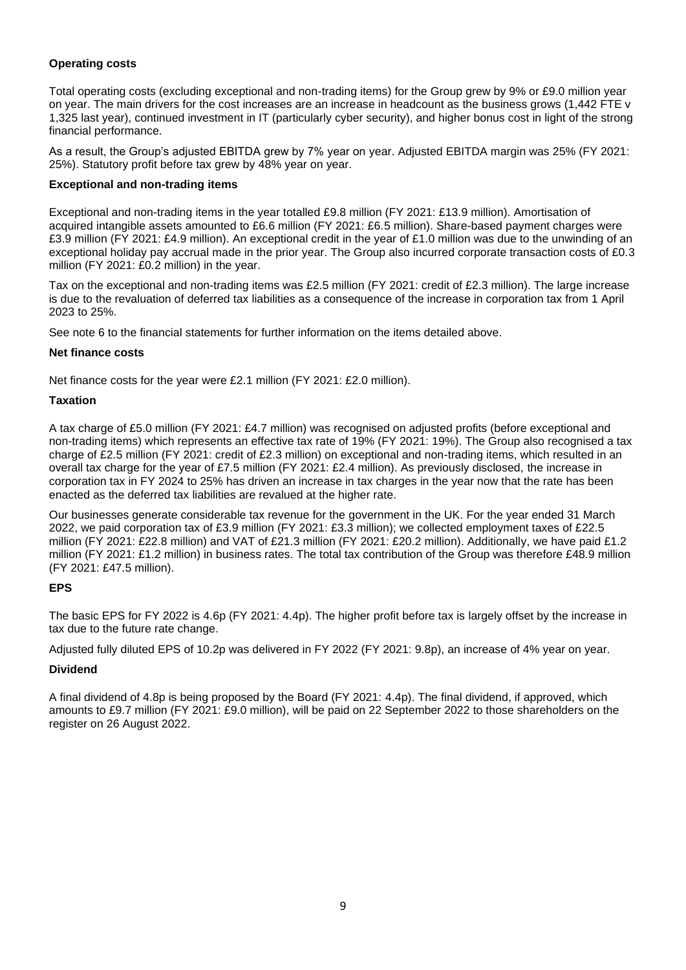# **Operating costs**

Total operating costs (excluding exceptional and non-trading items) for the Group grew by 9% or £9.0 million year on year. The main drivers for the cost increases are an increase in headcount as the business grows (1,442 FTE v 1,325 last year), continued investment in IT (particularly cyber security), and higher bonus cost in light of the strong financial performance.

As a result, the Group's adjusted EBITDA grew by 7% year on year. Adjusted EBITDA margin was 25% (FY 2021: 25%). Statutory profit before tax grew by 48% year on year.

# **Exceptional and non-trading items**

Exceptional and non-trading items in the year totalled £9.8 million (FY 2021: £13.9 million). Amortisation of acquired intangible assets amounted to £6.6 million (FY 2021: £6.5 million). Share-based payment charges were £3.9 million (FY 2021: £4.9 million). An exceptional credit in the year of £1.0 million was due to the unwinding of an exceptional holiday pay accrual made in the prior year. The Group also incurred corporate transaction costs of £0.3 million (FY 2021: £0.2 million) in the year.

Tax on the exceptional and non-trading items was £2.5 million (FY 2021: credit of £2.3 million). The large increase is due to the revaluation of deferred tax liabilities as a consequence of the increase in corporation tax from 1 April 2023 to 25%.

See note 6 to the financial statements for further information on the items detailed above.

# **Net finance costs**

Net finance costs for the year were £2.1 million (FY 2021: £2.0 million).

# **Taxation**

A tax charge of £5.0 million (FY 2021: £4.7 million) was recognised on adjusted profits (before exceptional and non-trading items) which represents an effective tax rate of 19% (FY 2021: 19%). The Group also recognised a tax charge of £2.5 million (FY 2021: credit of £2.3 million) on exceptional and non-trading items, which resulted in an overall tax charge for the year of £7.5 million (FY 2021: £2.4 million). As previously disclosed, the increase in corporation tax in FY 2024 to 25% has driven an increase in tax charges in the year now that the rate has been enacted as the deferred tax liabilities are revalued at the higher rate.

Our businesses generate considerable tax revenue for the government in the UK. For the year ended 31 March 2022, we paid corporation tax of £3.9 million (FY 2021: £3.3 million); we collected employment taxes of £22.5 million (FY 2021: £22.8 million) and VAT of £21.3 million (FY 2021: £20.2 million). Additionally, we have paid £1.2 million (FY 2021: £1.2 million) in business rates. The total tax contribution of the Group was therefore £48.9 million (FY 2021: £47.5 million).

# **EPS**

The basic EPS for FY 2022 is 4.6p (FY 2021: 4.4p). The higher profit before tax is largely offset by the increase in tax due to the future rate change.

Adjusted fully diluted EPS of 10.2p was delivered in FY 2022 (FY 2021: 9.8p), an increase of 4% year on year.

# **Dividend**

A final dividend of 4.8p is being proposed by the Board (FY 2021: 4.4p). The final dividend, if approved, which amounts to £9.7 million (FY 2021: £9.0 million), will be paid on 22 September 2022 to those shareholders on the register on 26 August 2022.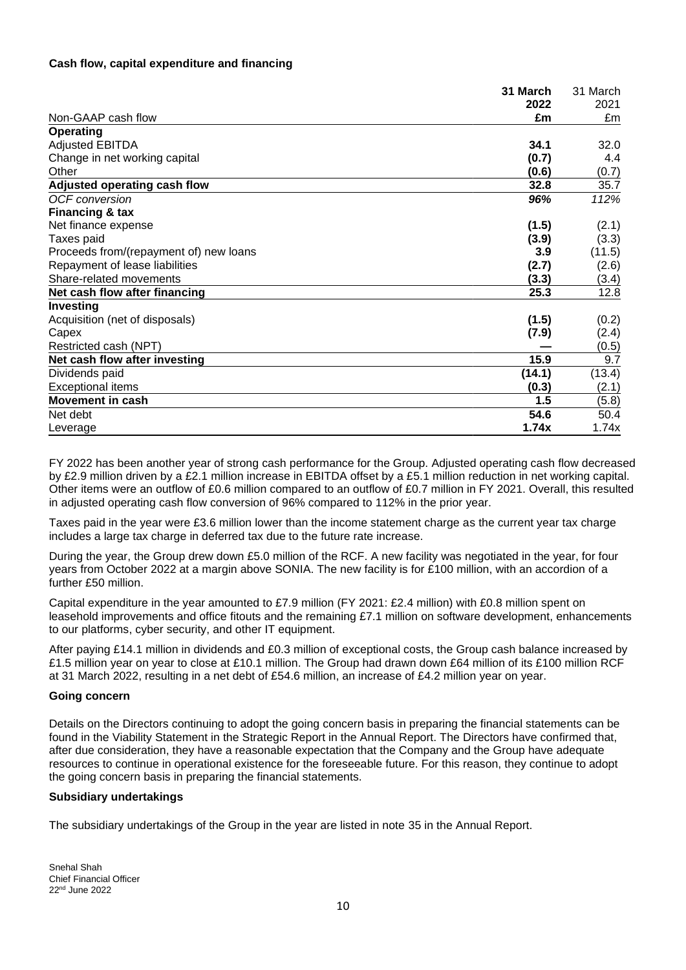# **Cash flow, capital expenditure and financing**

|                                        | 31 March | 31 March |
|----------------------------------------|----------|----------|
|                                        | 2022     | 2021     |
| Non-GAAP cash flow                     | £m       | £m       |
| <b>Operating</b>                       |          |          |
| <b>Adjusted EBITDA</b>                 | 34.1     | 32.0     |
| Change in net working capital          | (0.7)    | 4.4      |
| Other                                  | (0.6)    | (0.7)    |
| Adjusted operating cash flow           | 32.8     | 35.7     |
| <b>OCF</b> conversion                  | 96%      | 112%     |
| <b>Financing &amp; tax</b>             |          |          |
| Net finance expense                    | (1.5)    | (2.1)    |
| Taxes paid                             | (3.9)    | (3.3)    |
| Proceeds from/(repayment of) new loans | 3.9      | (11.5)   |
| Repayment of lease liabilities         | (2.7)    | (2.6)    |
| Share-related movements                | (3.3)    | (3.4)    |
| Net cash flow after financing          | 25.3     | 12.8     |
| Investing                              |          |          |
| Acquisition (net of disposals)         | (1.5)    | (0.2)    |
| Capex                                  | (7.9)    | (2.4)    |
| Restricted cash (NPT)                  |          | (0.5)    |
| Net cash flow after investing          | 15.9     | 9.7      |
| Dividends paid                         | (14.1)   | (13.4)   |
| <b>Exceptional items</b>               | (0.3)    | (2.1)    |
| <b>Movement in cash</b>                | 1.5      | (5.8)    |
| Net debt                               | 54.6     | 50.4     |
| Leverage                               | 1.74x    | 1.74x    |

FY 2022 has been another year of strong cash performance for the Group. Adjusted operating cash flow decreased by £2.9 million driven by a £2.1 million increase in EBITDA offset by a £5.1 million reduction in net working capital. Other items were an outflow of £0.6 million compared to an outflow of £0.7 million in FY 2021. Overall, this resulted in adjusted operating cash flow conversion of 96% compared to 112% in the prior year.

Taxes paid in the year were £3.6 million lower than the income statement charge as the current year tax charge includes a large tax charge in deferred tax due to the future rate increase.

During the year, the Group drew down £5.0 million of the RCF. A new facility was negotiated in the year, for four years from October 2022 at a margin above SONIA. The new facility is for £100 million, with an accordion of a further £50 million.

Capital expenditure in the year amounted to £7.9 million (FY 2021: £2.4 million) with £0.8 million spent on leasehold improvements and office fitouts and the remaining £7.1 million on software development, enhancements to our platforms, cyber security, and other IT equipment.

After paying £14.1 million in dividends and £0.3 million of exceptional costs, the Group cash balance increased by £1.5 million year on year to close at £10.1 million. The Group had drawn down £64 million of its £100 million RCF at 31 March 2022, resulting in a net debt of £54.6 million, an increase of £4.2 million year on year.

### **Going concern**

Details on the Directors continuing to adopt the going concern basis in preparing the financial statements can be found in the Viability Statement in the Strategic Report in the Annual Report. The Directors have confirmed that, after due consideration, they have a reasonable expectation that the Company and the Group have adequate resources to continue in operational existence for the foreseeable future. For this reason, they continue to adopt the going concern basis in preparing the financial statements.

### **Subsidiary undertakings**

The subsidiary undertakings of the Group in the year are listed in note 35 in the Annual Report.

Snehal Shah Chief Financial Officer 22nd June 2022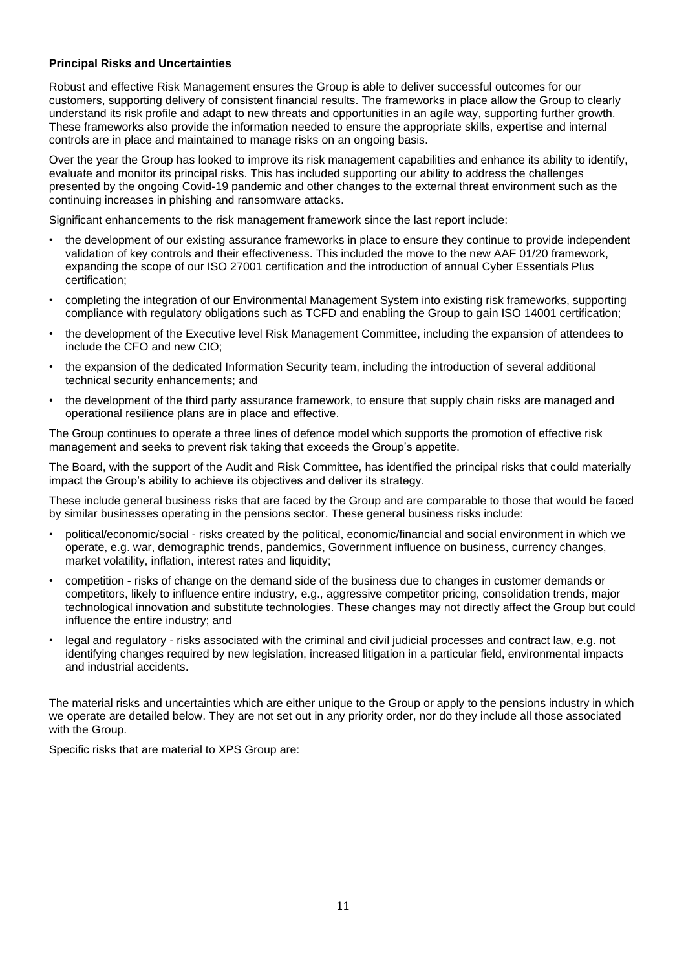# **Principal Risks and Uncertainties**

Robust and effective Risk Management ensures the Group is able to deliver successful outcomes for our customers, supporting delivery of consistent financial results. The frameworks in place allow the Group to clearly understand its risk profile and adapt to new threats and opportunities in an agile way, supporting further growth. These frameworks also provide the information needed to ensure the appropriate skills, expertise and internal controls are in place and maintained to manage risks on an ongoing basis.

Over the year the Group has looked to improve its risk management capabilities and enhance its ability to identify, evaluate and monitor its principal risks. This has included supporting our ability to address the challenges presented by the ongoing Covid-19 pandemic and other changes to the external threat environment such as the continuing increases in phishing and ransomware attacks.

Significant enhancements to the risk management framework since the last report include:

- the development of our existing assurance frameworks in place to ensure they continue to provide independent validation of key controls and their effectiveness. This included the move to the new AAF 01/20 framework, expanding the scope of our ISO 27001 certification and the introduction of annual Cyber Essentials Plus certification;
- completing the integration of our Environmental Management System into existing risk frameworks, supporting compliance with regulatory obligations such as TCFD and enabling the Group to gain ISO 14001 certification;
- the development of the Executive level Risk Management Committee, including the expansion of attendees to include the CFO and new CIO;
- the expansion of the dedicated Information Security team, including the introduction of several additional technical security enhancements; and
- the development of the third party assurance framework, to ensure that supply chain risks are managed and operational resilience plans are in place and effective.

The Group continues to operate a three lines of defence model which supports the promotion of effective risk management and seeks to prevent risk taking that exceeds the Group's appetite.

The Board, with the support of the Audit and Risk Committee, has identified the principal risks that could materially impact the Group's ability to achieve its objectives and deliver its strategy.

These include general business risks that are faced by the Group and are comparable to those that would be faced by similar businesses operating in the pensions sector. These general business risks include:

- political/economic/social risks created by the political, economic/financial and social environment in which we operate, e.g. war, demographic trends, pandemics, Government influence on business, currency changes, market volatility, inflation, interest rates and liquidity;
- competition risks of change on the demand side of the business due to changes in customer demands or competitors, likely to influence entire industry, e.g., aggressive competitor pricing, consolidation trends, major technological innovation and substitute technologies. These changes may not directly affect the Group but could influence the entire industry; and
- legal and regulatory risks associated with the criminal and civil judicial processes and contract law, e.g. not identifying changes required by new legislation, increased litigation in a particular field, environmental impacts and industrial accidents.

The material risks and uncertainties which are either unique to the Group or apply to the pensions industry in which we operate are detailed below. They are not set out in any priority order, nor do they include all those associated with the Group.

Specific risks that are material to XPS Group are: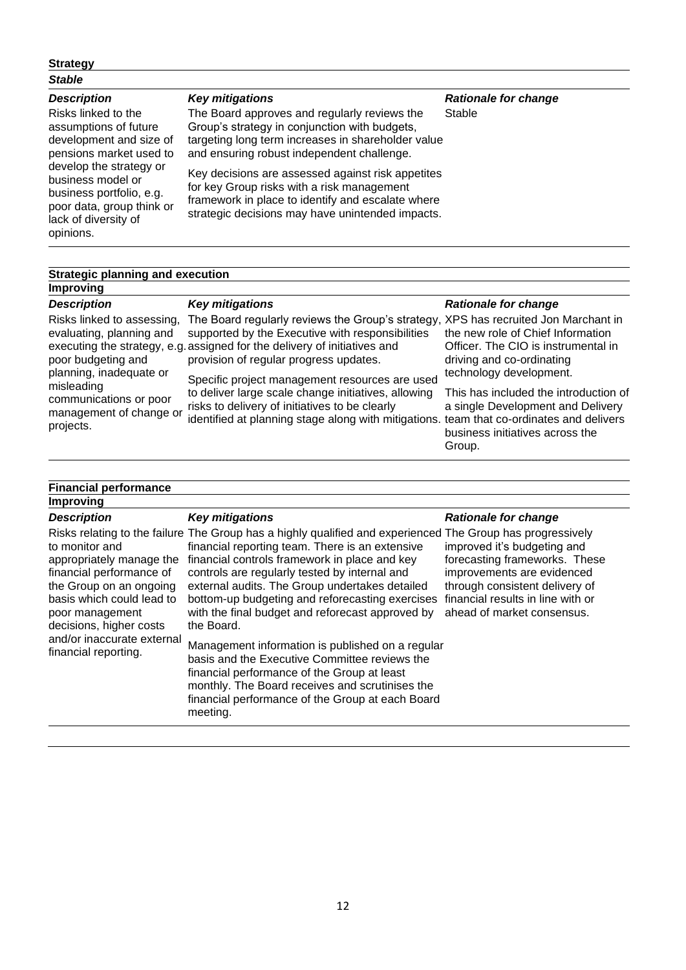# **Strategy**

# *Stable*

# *Description*

Risks linked to the assumptions of future development and size of pensions market used to develop the strategy or business model or business portfolio, e.g. poor data, group think or lack of diversity of opinions.

### *Key mitigations*

The Board approves and regularly reviews the Group's strategy in conjunction with budgets, targeting long term increases in shareholder value and ensuring robust independent challenge.

Key decisions are assessed against risk appetites for key Group risks with a risk management framework in place to identify and escalate where strategic decisions may have unintended impacts.

### *Rationale for change* Stable

# **Strategic planning and execution**

# **Improving** *Description*

Risks linked to assessing, evaluating, planning and poor budgeting and planning, inadequate or misleading communications or poor management of change or projects.

# *Key mitigations*

executing the strategy, e.g. assigned for the delivery of initiatives and The Board regularly reviews the Group's strategy, XPS has recruited Jon Marchant in supported by the Executive with responsibilities provision of regular progress updates.

> Specific project management resources are used to deliver large scale change initiatives, allowing risks to delivery of initiatives to be clearly identified at planning stage along with mitigations.

### *Rationale for change*

the new role of Chief Information Officer. The CIO is instrumental in driving and co-ordinating technology development.

This has included the introduction of a single Development and Delivery team that co-ordinates and delivers business initiatives across the Group.

#### **Financial performance Improving** *Description* Risks relating to the failure The Group has a highly qualified and experienced The Group has progressively to monitor and appropriately manage the financial controls framework in place and key financial performance of the Group on an ongoing basis which could lead to poor management decisions, higher costs and/or inaccurate external financial reporting. *Key mitigations* financial reporting team. There is an extensive controls are regularly tested by internal and external audits. The Group undertakes detailed bottom-up budgeting and reforecasting exercises with the final budget and reforecast approved by the Board. Management information is published on a regular basis and the Executive Committee reviews the financial performance of the Group at least *Rationale for change* improved it's budgeting and forecasting frameworks. These improvements are evidenced through consistent delivery of financial results in line with or ahead of market consensus.

monthly. The Board receives and scrutinises the financial performance of the Group at each Board

meeting.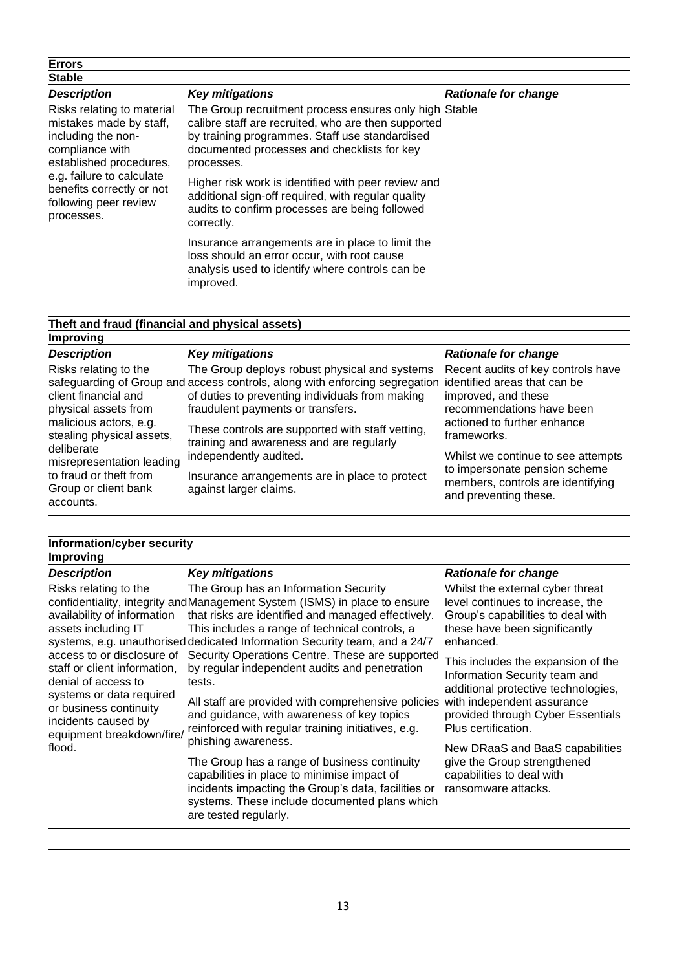| <b>Errors</b>                                                                                                                                                                                                              |                                                                                                                                                                                                                                                                                                                                                                                                           |                             |
|----------------------------------------------------------------------------------------------------------------------------------------------------------------------------------------------------------------------------|-----------------------------------------------------------------------------------------------------------------------------------------------------------------------------------------------------------------------------------------------------------------------------------------------------------------------------------------------------------------------------------------------------------|-----------------------------|
| <b>Stable</b>                                                                                                                                                                                                              |                                                                                                                                                                                                                                                                                                                                                                                                           |                             |
| <b>Description</b>                                                                                                                                                                                                         | <b>Key mitigations</b>                                                                                                                                                                                                                                                                                                                                                                                    | <b>Rationale for change</b> |
| Risks relating to material<br>mistakes made by staff,<br>including the non-<br>compliance with<br>established procedures,<br>e.g. failure to calculate<br>benefits correctly or not<br>following peer review<br>processes. | The Group recruitment process ensures only high Stable<br>calibre staff are recruited, who are then supported<br>by training programmes. Staff use standardised<br>documented processes and checklists for key<br>processes.<br>Higher risk work is identified with peer review and<br>additional sign-off required, with regular quality<br>audits to confirm processes are being followed<br>correctly. |                             |
|                                                                                                                                                                                                                            | Insurance arrangements are in place to limit the<br>loss should an error occur, with root cause<br>analysis used to identify where controls can be<br>improved.                                                                                                                                                                                                                                           |                             |

| Theft and fraud (financial and physical assets)<br><b>Improving</b>                                                                                                                       |                                                                                                                                                                                |  |  |
|-------------------------------------------------------------------------------------------------------------------------------------------------------------------------------------------|--------------------------------------------------------------------------------------------------------------------------------------------------------------------------------|--|--|
|                                                                                                                                                                                           |                                                                                                                                                                                |  |  |
|                                                                                                                                                                                           | <b>Rationale for change</b>                                                                                                                                                    |  |  |
| The Group deploys robust physical and systems<br>of duties to preventing individuals from making<br>fraudulent payments or transfers.<br>These controls are supported with staff vetting, | Recent audits of key controls have<br>improved, and these<br>recommendations have been<br>actioned to further enhance<br>frameworks.                                           |  |  |
| independently audited.<br>Insurance arrangements are in place to protect<br>against larger claims.                                                                                        | Whilst we continue to see attempts<br>to impersonate pension scheme<br>members, controls are identifying<br>and preventing these.                                              |  |  |
|                                                                                                                                                                                           | <b>Key mitigations</b><br>safeguarding of Group and access controls, along with enforcing segregation identified areas that can be<br>training and awareness and are regularly |  |  |

| Information/cyber security |                        |                             |
|----------------------------|------------------------|-----------------------------|
| <b>Improving</b>           |                        |                             |
| <b>Description</b>         | <b>Key mitigations</b> | <b>Rationale for change</b> |

Risks relating to the availability of information assets including IT staff or client information, denial of access to systems or data required or business continuity incidents caused by equipment breakdown/fire/ flood.

# *Key mitigations*

confidentiality, integrity and Management System (ISMS) in place to ensure systems, e.g. unauthorised dedicated Information Security team, and a 24/7 access to or disclosure of Security Operations Centre. These are supported The Group has an Information Security that risks are identified and managed effectively. This includes a range of technical controls, a by regular independent audits and penetration tests.

> All staff are provided with comprehensive policies and guidance, with awareness of key topics reinforced with regular training initiatives, e.g. phishing awareness.

> The Group has a range of business continuity capabilities in place to minimise impact of incidents impacting the Group's data, facilities or systems. These include documented plans which are tested regularly.

### *Rationale for change*

Whilst the external cyber threat level continues to increase, the Group's capabilities to deal with these have been significantly enhanced.

This includes the expansion of the Information Security team and additional protective technologies, with independent assurance provided through Cyber Essentials Plus certification.

New DRaaS and BaaS capabilities give the Group strengthened capabilities to deal with ransomware attacks.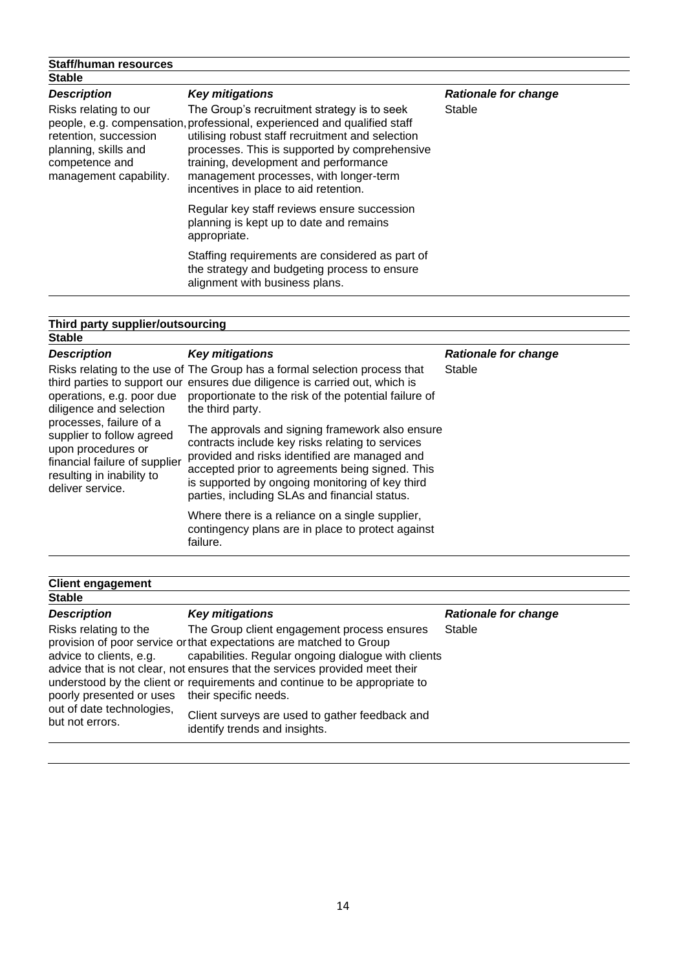| <b>Staff/human resources</b>                                                                                       |                                                                                                                                                                                                                                                                                                                                                          |                             |
|--------------------------------------------------------------------------------------------------------------------|----------------------------------------------------------------------------------------------------------------------------------------------------------------------------------------------------------------------------------------------------------------------------------------------------------------------------------------------------------|-----------------------------|
| <b>Stable</b>                                                                                                      |                                                                                                                                                                                                                                                                                                                                                          |                             |
| <b>Description</b>                                                                                                 | <b>Key mitigations</b>                                                                                                                                                                                                                                                                                                                                   | <b>Rationale for change</b> |
| Risks relating to our<br>retention, succession<br>planning, skills and<br>competence and<br>management capability. | The Group's recruitment strategy is to seek<br>people, e.g. compensation, professional, experienced and qualified staff<br>utilising robust staff recruitment and selection<br>processes. This is supported by comprehensive<br>training, development and performance<br>management processes, with longer-term<br>incentives in place to aid retention. | Stable                      |
|                                                                                                                    | Regular key staff reviews ensure succession<br>planning is kept up to date and remains<br>appropriate.                                                                                                                                                                                                                                                   |                             |
|                                                                                                                    | Staffing requirements are considered as part of<br>the strategy and budgeting process to ensure<br>alignment with business plans.                                                                                                                                                                                                                        |                             |
|                                                                                                                    |                                                                                                                                                                                                                                                                                                                                                          |                             |

| Third party supplier/outsourcing                                                                                                                                                                                     |                                                                                                                                                                                                                                                                                                             |                             |
|----------------------------------------------------------------------------------------------------------------------------------------------------------------------------------------------------------------------|-------------------------------------------------------------------------------------------------------------------------------------------------------------------------------------------------------------------------------------------------------------------------------------------------------------|-----------------------------|
| <b>Stable</b>                                                                                                                                                                                                        |                                                                                                                                                                                                                                                                                                             |                             |
| <b>Description</b>                                                                                                                                                                                                   | <b>Key mitigations</b>                                                                                                                                                                                                                                                                                      | <b>Rationale for change</b> |
| operations, e.g. poor due<br>diligence and selection<br>processes, failure of a<br>supplier to follow agreed<br>upon procedures or<br>financial failure of supplier<br>resulting in inability to<br>deliver service. | Risks relating to the use of The Group has a formal selection process that<br>third parties to support our ensures due diligence is carried out, which is<br>proportionate to the risk of the potential failure of<br>the third party.                                                                      | Stable                      |
|                                                                                                                                                                                                                      | The approvals and signing framework also ensure<br>contracts include key risks relating to services<br>provided and risks identified are managed and<br>accepted prior to agreements being signed. This<br>is supported by ongoing monitoring of key third<br>parties, including SLAs and financial status. |                             |
|                                                                                                                                                                                                                      | Where there is a reliance on a single supplier,<br>contingency plans are in place to protect against<br>failure.                                                                                                                                                                                            |                             |

| <b>Client engagement</b>                                                                                                     |                                                                                                                                                                                                                                                                                                                                                                                                                                                    |                             |
|------------------------------------------------------------------------------------------------------------------------------|----------------------------------------------------------------------------------------------------------------------------------------------------------------------------------------------------------------------------------------------------------------------------------------------------------------------------------------------------------------------------------------------------------------------------------------------------|-----------------------------|
| <b>Stable</b>                                                                                                                |                                                                                                                                                                                                                                                                                                                                                                                                                                                    |                             |
| <b>Description</b>                                                                                                           | <b>Key mitigations</b>                                                                                                                                                                                                                                                                                                                                                                                                                             | <b>Rationale for change</b> |
| Risks relating to the<br>advice to clients, e.g.<br>poorly presented or uses<br>out of date technologies,<br>but not errors. | The Group client engagement process ensures<br>provision of poor service or that expectations are matched to Group<br>capabilities. Regular ongoing dialogue with clients<br>advice that is not clear, not ensures that the services provided meet their<br>understood by the client or requirements and continue to be appropriate to<br>their specific needs.<br>Client surveys are used to gather feedback and<br>identify trends and insights. | Stable                      |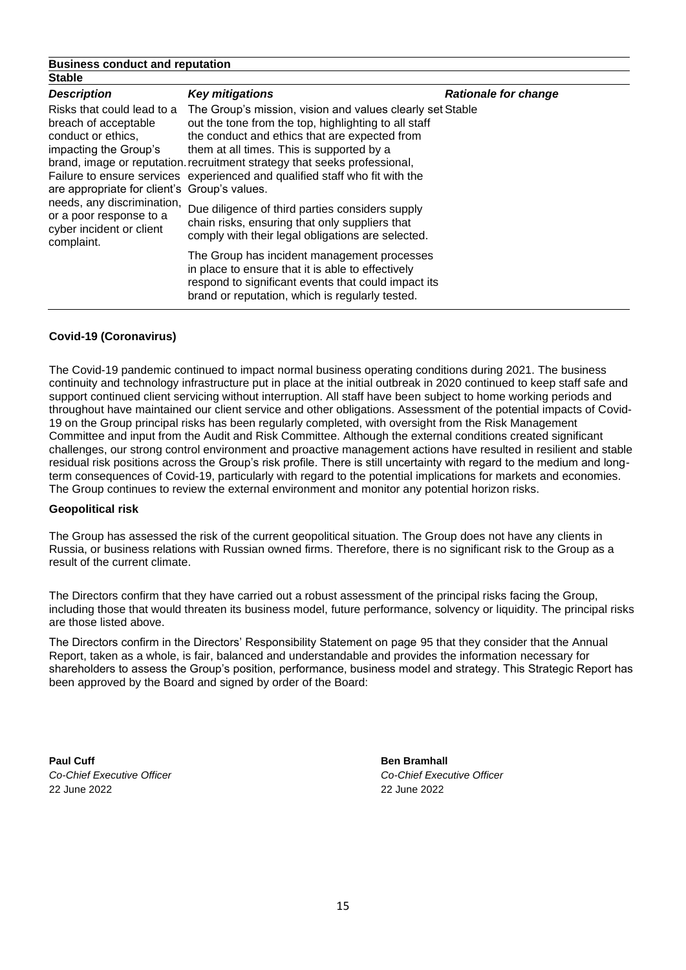### **Business conduct and reputation Stable**

| <b>Description</b>                                                                                                                                                                                                                                   | <b>Key mitigations</b>                                                                                                                                                                                                                                                                                                                                                     | <b>Rationale for change</b> |
|------------------------------------------------------------------------------------------------------------------------------------------------------------------------------------------------------------------------------------------------------|----------------------------------------------------------------------------------------------------------------------------------------------------------------------------------------------------------------------------------------------------------------------------------------------------------------------------------------------------------------------------|-----------------------------|
| Risks that could lead to a<br>breach of acceptable<br>conduct or ethics,<br>impacting the Group's<br>are appropriate for client's Group's values.<br>needs, any discrimination,<br>or a poor response to a<br>cyber incident or client<br>complaint. | The Group's mission, vision and values clearly set Stable<br>out the tone from the top, highlighting to all staff<br>the conduct and ethics that are expected from<br>them at all times. This is supported by a<br>brand, image or reputation recruitment strategy that seeks professional,<br>Failure to ensure services experienced and qualified staff who fit with the |                             |
|                                                                                                                                                                                                                                                      | Due diligence of third parties considers supply<br>chain risks, ensuring that only suppliers that<br>comply with their legal obligations are selected.                                                                                                                                                                                                                     |                             |
|                                                                                                                                                                                                                                                      | The Group has incident management processes<br>in place to ensure that it is able to effectively<br>respond to significant events that could impact its<br>brand or reputation, which is regularly tested.                                                                                                                                                                 |                             |

# **Covid-19 (Coronavirus)**

The Covid-19 pandemic continued to impact normal business operating conditions during 2021. The business continuity and technology infrastructure put in place at the initial outbreak in 2020 continued to keep staff safe and support continued client servicing without interruption. All staff have been subject to home working periods and throughout have maintained our client service and other obligations. Assessment of the potential impacts of Covid-19 on the Group principal risks has been regularly completed, with oversight from the Risk Management Committee and input from the Audit and Risk Committee. Although the external conditions created significant challenges, our strong control environment and proactive management actions have resulted in resilient and stable residual risk positions across the Group's risk profile. There is still uncertainty with regard to the medium and longterm consequences of Covid-19, particularly with regard to the potential implications for markets and economies. The Group continues to review the external environment and monitor any potential horizon risks.

# **Geopolitical risk**

The Group has assessed the risk of the current geopolitical situation. The Group does not have any clients in Russia, or business relations with Russian owned firms. Therefore, there is no significant risk to the Group as a result of the current climate.

The Directors confirm that they have carried out a robust assessment of the principal risks facing the Group, including those that would threaten its business model, future performance, solvency or liquidity. The principal risks are those listed above.

The Directors confirm in the Directors' Responsibility Statement on page 95 that they consider that the Annual Report, taken as a whole, is fair, balanced and understandable and provides the information necessary for shareholders to assess the Group's position, performance, business model and strategy. This Strategic Report has been approved by the Board and signed by order of the Board:

**Paul Cuff Ben Bramhall** 22 June 2022 22 June 2022

*Co-Chief Executive Officer Co-Chief Executive Officer*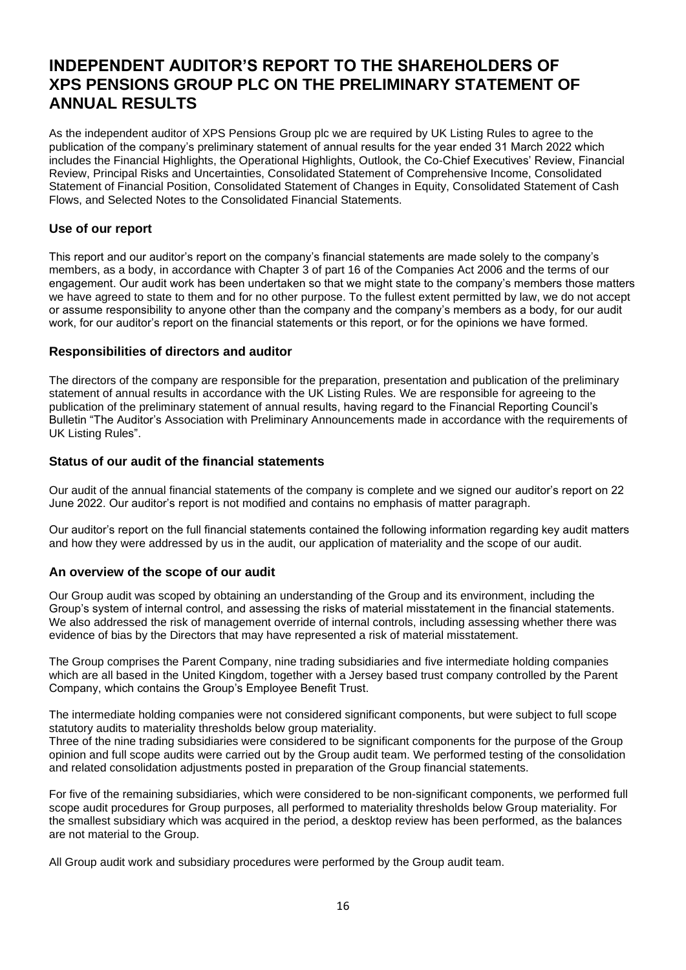# **INDEPENDENT AUDITOR'S REPORT TO THE SHAREHOLDERS OF XPS PENSIONS GROUP PLC ON THE PRELIMINARY STATEMENT OF ANNUAL RESULTS**

As the independent auditor of XPS Pensions Group plc we are required by UK Listing Rules to agree to the publication of the company's preliminary statement of annual results for the year ended 31 March 2022 which includes the Financial Highlights, the Operational Highlights, Outlook, the Co-Chief Executives' Review, Financial Review, Principal Risks and Uncertainties, Consolidated Statement of Comprehensive Income, Consolidated Statement of Financial Position, Consolidated Statement of Changes in Equity, Consolidated Statement of Cash Flows, and Selected Notes to the Consolidated Financial Statements.

# **Use of our report**

This report and our auditor's report on the company's financial statements are made solely to the company's members, as a body, in accordance with Chapter 3 of part 16 of the Companies Act 2006 and the terms of our engagement. Our audit work has been undertaken so that we might state to the company's members those matters we have agreed to state to them and for no other purpose. To the fullest extent permitted by law, we do not accept or assume responsibility to anyone other than the company and the company's members as a body, for our audit work, for our auditor's report on the financial statements or this report, or for the opinions we have formed.

# **Responsibilities of directors and auditor**

The directors of the company are responsible for the preparation, presentation and publication of the preliminary statement of annual results in accordance with the UK Listing Rules. We are responsible for agreeing to the publication of the preliminary statement of annual results, having regard to the Financial Reporting Council's Bulletin "The Auditor's Association with Preliminary Announcements made in accordance with the requirements of UK Listing Rules".

# **Status of our audit of the financial statements**

Our audit of the annual financial statements of the company is complete and we signed our auditor's report on 22 June 2022. Our auditor's report is not modified and contains no emphasis of matter paragraph.

Our auditor's report on the full financial statements contained the following information regarding key audit matters and how they were addressed by us in the audit, our application of materiality and the scope of our audit.

# **An overview of the scope of our audit**

Our Group audit was scoped by obtaining an understanding of the Group and its environment, including the Group's system of internal control, and assessing the risks of material misstatement in the financial statements. We also addressed the risk of management override of internal controls, including assessing whether there was evidence of bias by the Directors that may have represented a risk of material misstatement.

The Group comprises the Parent Company, nine trading subsidiaries and five intermediate holding companies which are all based in the United Kingdom, together with a Jersey based trust company controlled by the Parent Company, which contains the Group's Employee Benefit Trust.

The intermediate holding companies were not considered significant components, but were subject to full scope statutory audits to materiality thresholds below group materiality.

Three of the nine trading subsidiaries were considered to be significant components for the purpose of the Group opinion and full scope audits were carried out by the Group audit team. We performed testing of the consolidation and related consolidation adjustments posted in preparation of the Group financial statements.

For five of the remaining subsidiaries, which were considered to be non-significant components, we performed full scope audit procedures for Group purposes, all performed to materiality thresholds below Group materiality. For the smallest subsidiary which was acquired in the period, a desktop review has been performed, as the balances are not material to the Group.

All Group audit work and subsidiary procedures were performed by the Group audit team.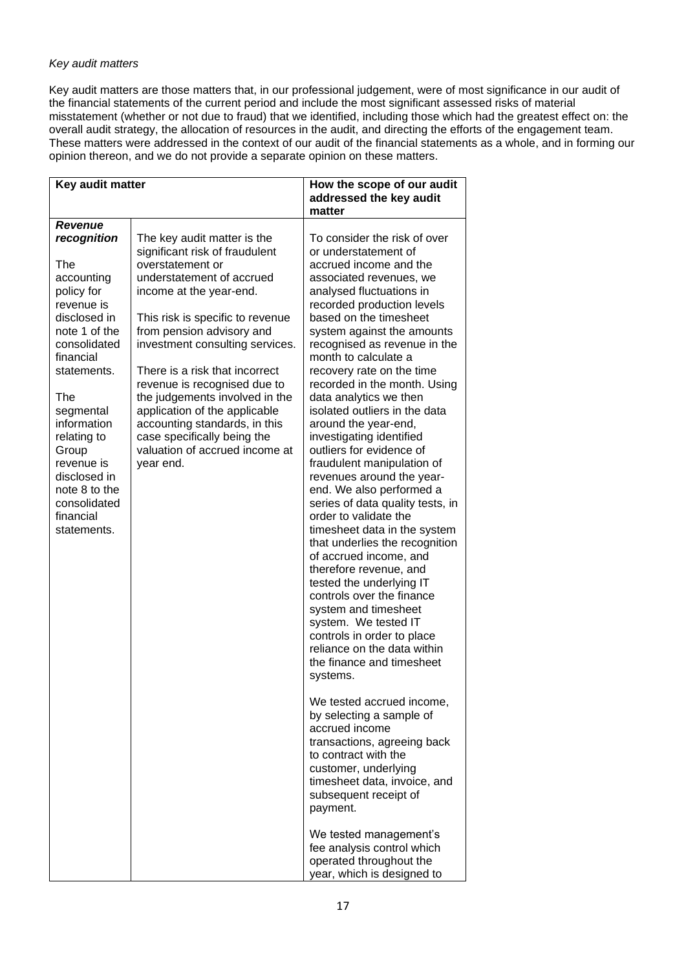# *Key audit matters*

Key audit matters are those matters that, in our professional judgement, were of most significance in our audit of the financial statements of the current period and include the most significant assessed risks of material misstatement (whether or not due to fraud) that we identified, including those which had the greatest effect on: the overall audit strategy, the allocation of resources in the audit, and directing the efforts of the engagement team. These matters were addressed in the context of our audit of the financial statements as a whole, and in forming our opinion thereon, and we do not provide a separate opinion on these matters.

| Key audit matter                                                                                                                                                                                                                                                                                |                                                                                                                                                                                                                                                                                                                                                                                                                                                                                                   | How the scope of our audit                                                                                                                                                                                                                                                                                                                                                                                                                                                                                                                                                                                                                                                                                                                                                                                                                                                                                                                                                                                                                                                                                                                                                                                                         |
|-------------------------------------------------------------------------------------------------------------------------------------------------------------------------------------------------------------------------------------------------------------------------------------------------|---------------------------------------------------------------------------------------------------------------------------------------------------------------------------------------------------------------------------------------------------------------------------------------------------------------------------------------------------------------------------------------------------------------------------------------------------------------------------------------------------|------------------------------------------------------------------------------------------------------------------------------------------------------------------------------------------------------------------------------------------------------------------------------------------------------------------------------------------------------------------------------------------------------------------------------------------------------------------------------------------------------------------------------------------------------------------------------------------------------------------------------------------------------------------------------------------------------------------------------------------------------------------------------------------------------------------------------------------------------------------------------------------------------------------------------------------------------------------------------------------------------------------------------------------------------------------------------------------------------------------------------------------------------------------------------------------------------------------------------------|
|                                                                                                                                                                                                                                                                                                 |                                                                                                                                                                                                                                                                                                                                                                                                                                                                                                   | matter                                                                                                                                                                                                                                                                                                                                                                                                                                                                                                                                                                                                                                                                                                                                                                                                                                                                                                                                                                                                                                                                                                                                                                                                                             |
| <b>Revenue</b>                                                                                                                                                                                                                                                                                  |                                                                                                                                                                                                                                                                                                                                                                                                                                                                                                   |                                                                                                                                                                                                                                                                                                                                                                                                                                                                                                                                                                                                                                                                                                                                                                                                                                                                                                                                                                                                                                                                                                                                                                                                                                    |
| recognition<br>The<br>accounting<br>policy for<br>revenue is<br>disclosed in<br>note 1 of the<br>consolidated<br>financial<br>statements.<br>The<br>segmental<br>information<br>relating to<br>Group<br>revenue is<br>disclosed in<br>note 8 to the<br>consolidated<br>financial<br>statements. | The key audit matter is the<br>significant risk of fraudulent<br>overstatement or<br>understatement of accrued<br>income at the year-end.<br>This risk is specific to revenue<br>from pension advisory and<br>investment consulting services.<br>There is a risk that incorrect<br>revenue is recognised due to<br>the judgements involved in the<br>application of the applicable<br>accounting standards, in this<br>case specifically being the<br>valuation of accrued income at<br>year end. | addressed the key audit<br>To consider the risk of over<br>or understatement of<br>accrued income and the<br>associated revenues, we<br>analysed fluctuations in<br>recorded production levels<br>based on the timesheet<br>system against the amounts<br>recognised as revenue in the<br>month to calculate a<br>recovery rate on the time<br>recorded in the month. Using<br>data analytics we then<br>isolated outliers in the data<br>around the year-end,<br>investigating identified<br>outliers for evidence of<br>fraudulent manipulation of<br>revenues around the year-<br>end. We also performed a<br>series of data quality tests, in<br>order to validate the<br>timesheet data in the system<br>that underlies the recognition<br>of accrued income, and<br>therefore revenue, and<br>tested the underlying IT<br>controls over the finance<br>system and timesheet<br>system. We tested IT<br>controls in order to place<br>reliance on the data within<br>the finance and timesheet<br>systems.<br>We tested accrued income,<br>by selecting a sample of<br>accrued income<br>transactions, agreeing back<br>to contract with the<br>customer, underlying<br>timesheet data, invoice, and<br>subsequent receipt of |
|                                                                                                                                                                                                                                                                                                 |                                                                                                                                                                                                                                                                                                                                                                                                                                                                                                   | payment.<br>We tested management's                                                                                                                                                                                                                                                                                                                                                                                                                                                                                                                                                                                                                                                                                                                                                                                                                                                                                                                                                                                                                                                                                                                                                                                                 |
|                                                                                                                                                                                                                                                                                                 |                                                                                                                                                                                                                                                                                                                                                                                                                                                                                                   | fee analysis control which<br>operated throughout the<br>year, which is designed to                                                                                                                                                                                                                                                                                                                                                                                                                                                                                                                                                                                                                                                                                                                                                                                                                                                                                                                                                                                                                                                                                                                                                |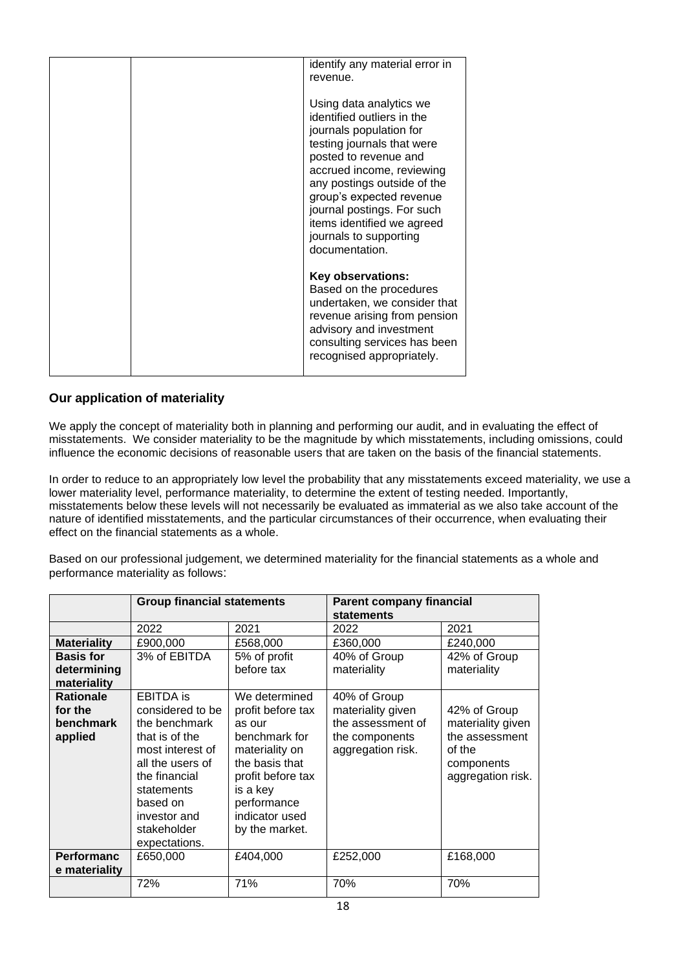| identify any material error in<br>revenue.                                                                                                                                                                                                                                                                                              |
|-----------------------------------------------------------------------------------------------------------------------------------------------------------------------------------------------------------------------------------------------------------------------------------------------------------------------------------------|
| Using data analytics we<br>identified outliers in the<br>journals population for<br>testing journals that were<br>posted to revenue and<br>accrued income, reviewing<br>any postings outside of the<br>group's expected revenue<br>journal postings. For such<br>items identified we agreed<br>journals to supporting<br>documentation. |
| <b>Key observations:</b><br>Based on the procedures<br>undertaken, we consider that<br>revenue arising from pension<br>advisory and investment<br>consulting services has been<br>recognised appropriately.                                                                                                                             |

# **Our application of materiality**

We apply the concept of materiality both in planning and performing our audit, and in evaluating the effect of misstatements. We consider materiality to be the magnitude by which misstatements, including omissions, could influence the economic decisions of reasonable users that are taken on the basis of the financial statements.

In order to reduce to an appropriately low level the probability that any misstatements exceed materiality, we use a lower materiality level, performance materiality, to determine the extent of testing needed. Importantly, misstatements below these levels will not necessarily be evaluated as immaterial as we also take account of the nature of identified misstatements, and the particular circumstances of their occurrence, when evaluating their effect on the financial statements as a whole.

Based on our professional judgement, we determined materiality for the financial statements as a whole and performance materiality as follows:

|                    | <b>Group financial statements</b> |                   | <b>Parent company financial</b><br>statements |                   |  |
|--------------------|-----------------------------------|-------------------|-----------------------------------------------|-------------------|--|
|                    | 2022                              | 2021              | 2022                                          | 2021              |  |
| <b>Materiality</b> | £900,000                          | £568,000          | £360,000                                      | £240,000          |  |
| <b>Basis for</b>   | 3% of EBITDA                      | 5% of profit      | 40% of Group                                  | 42% of Group      |  |
| determining        |                                   | before tax        | materiality                                   | materiality       |  |
| materiality        |                                   |                   |                                               |                   |  |
| <b>Rationale</b>   | <b>EBITDA</b> is                  | We determined     | 40% of Group                                  |                   |  |
| for the            | considered to be                  | profit before tax | materiality given                             | 42% of Group      |  |
| <b>benchmark</b>   | the benchmark                     | as our            | the assessment of                             | materiality given |  |
| applied            | that is of the                    | benchmark for     | the components                                | the assessment    |  |
|                    | most interest of                  | materiality on    | aggregation risk.                             | of the            |  |
|                    | all the users of                  | the basis that    |                                               | components        |  |
|                    | the financial                     | profit before tax |                                               | aggregation risk. |  |
|                    | statements                        | is a key          |                                               |                   |  |
|                    | based on                          | performance       |                                               |                   |  |
|                    | investor and                      | indicator used    |                                               |                   |  |
|                    | stakeholder                       | by the market.    |                                               |                   |  |
|                    | expectations.                     |                   |                                               |                   |  |
| <b>Performanc</b>  | £650,000                          | £404,000          | £252,000                                      | £168,000          |  |
| e materiality      |                                   |                   |                                               |                   |  |
|                    | 72%                               | 71%               | 70%                                           | 70%               |  |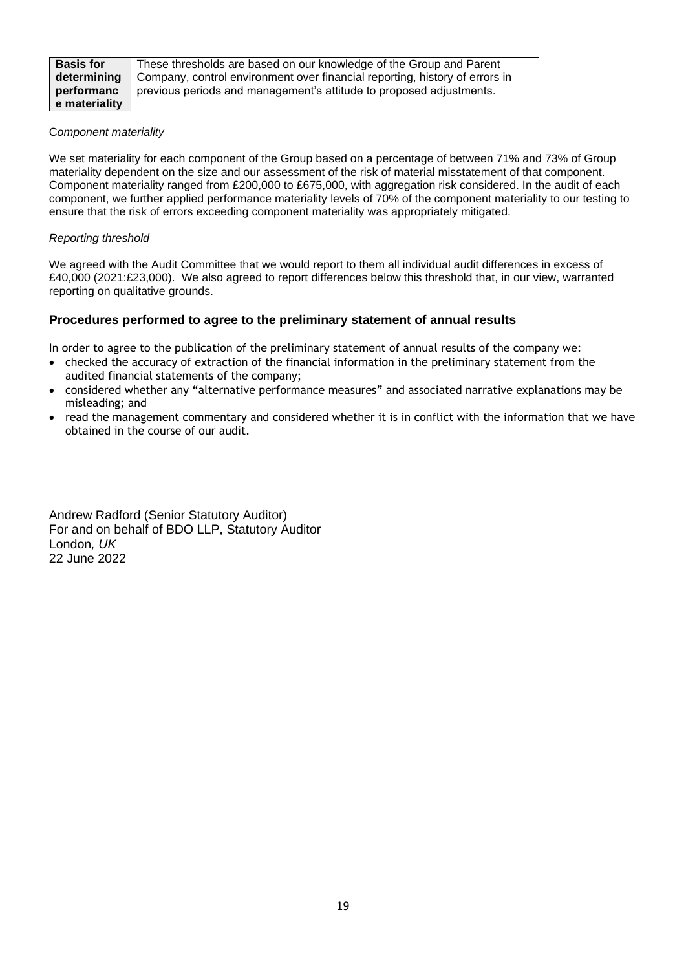| <b>Basis for</b> | These thresholds are based on our knowledge of the Group and Parent         |
|------------------|-----------------------------------------------------------------------------|
| determining      | Company, control environment over financial reporting, history of errors in |
| performanc       | previous periods and management's attitude to proposed adjustments.         |
| e materiality    |                                                                             |

# C*omponent materiality*

We set materiality for each component of the Group based on a percentage of between 71% and 73% of Group materiality dependent on the size and our assessment of the risk of material misstatement of that component. Component materiality ranged from £200,000 to £675,000, with aggregation risk considered. In the audit of each component, we further applied performance materiality levels of 70% of the component materiality to our testing to ensure that the risk of errors exceeding component materiality was appropriately mitigated.

# *Reporting threshold*

We agreed with the Audit Committee that we would report to them all individual audit differences in excess of £40,000 (2021:£23,000). We also agreed to report differences below this threshold that, in our view, warranted reporting on qualitative grounds.

# **Procedures performed to agree to the preliminary statement of annual results**

In order to agree to the publication of the preliminary statement of annual results of the company we:

- checked the accuracy of extraction of the financial information in the preliminary statement from the audited financial statements of the company;
- considered whether any "alternative performance measures" and associated narrative explanations may be misleading; and
- read the management commentary and considered whether it is in conflict with the information that we have obtained in the course of our audit.

Andrew Radford (Senior Statutory Auditor) For and on behalf of BDO LLP, Statutory Auditor London*, UK* 22 June 2022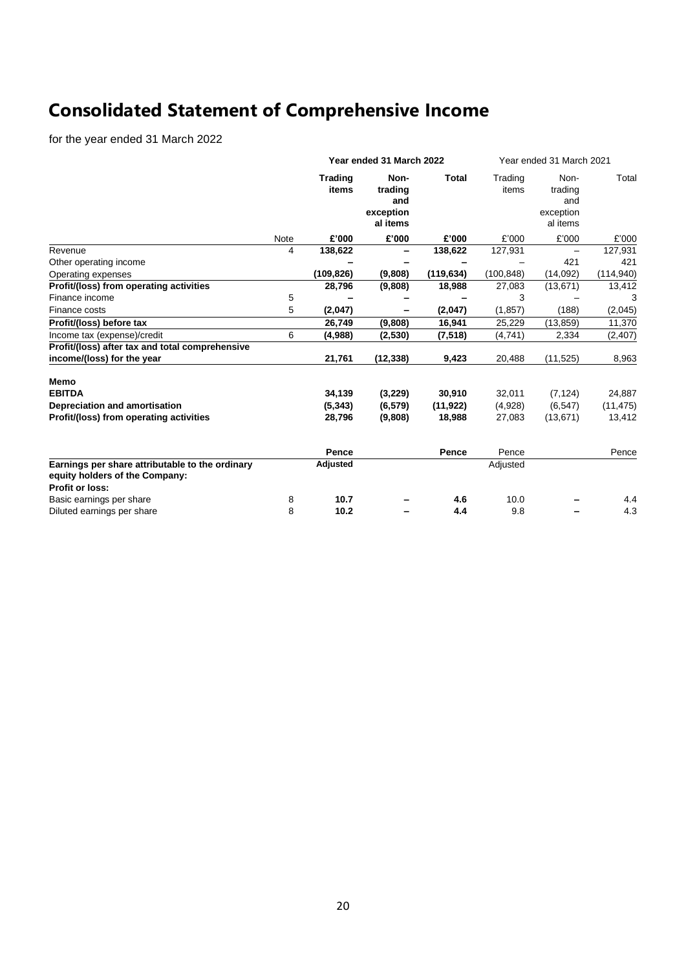# **Consolidated Statement of Comprehensive Income**

for the year ended 31 March 2022

|                                                                                   |      | Year ended 31 March 2022 |                                                 |            | Year ended 31 March 2021 |                                                 |            |
|-----------------------------------------------------------------------------------|------|--------------------------|-------------------------------------------------|------------|--------------------------|-------------------------------------------------|------------|
|                                                                                   |      | <b>Trading</b><br>items  | Non-<br>trading<br>and<br>exception<br>al items | Total      | Trading<br>items         | Non-<br>trading<br>and<br>exception<br>al items | Total      |
|                                                                                   | Note | £'000                    | £'000                                           | £'000      | £'000                    | £'000                                           | £'000      |
| Revenue                                                                           | 4    | 138,622                  |                                                 | 138,622    | 127,931                  |                                                 | 127,931    |
| Other operating income                                                            |      |                          |                                                 |            |                          | 421                                             | 421        |
| Operating expenses                                                                |      | (109, 826)               | (9,808)                                         | (119, 634) | (100, 848)               | (14,092)                                        | (114, 940) |
| Profit/(loss) from operating activities                                           |      | 28,796                   | (9,808)                                         | 18,988     | 27,083                   | (13, 671)                                       | 13,412     |
| Finance income                                                                    | 5    |                          |                                                 |            | 3                        |                                                 |            |
| Finance costs                                                                     | 5    | (2,047)                  |                                                 | (2,047)    | (1, 857)                 | (188)                                           | (2,045)    |
| Profit/(loss) before tax                                                          |      | 26,749                   | (9,808)                                         | 16,941     | 25,229                   | (13, 859)                                       | 11,370     |
| Income tax (expense)/credit                                                       | 6    | (4,988)                  | (2,530)                                         | (7, 518)   | (4, 741)                 | 2,334                                           | (2, 407)   |
| Profit/(loss) after tax and total comprehensive                                   |      |                          |                                                 |            |                          |                                                 |            |
| income/(loss) for the year                                                        |      | 21,761                   | (12, 338)                                       | 9,423      | 20,488                   | (11, 525)                                       | 8,963      |
| <b>Memo</b>                                                                       |      |                          |                                                 |            |                          |                                                 |            |
| <b>EBITDA</b>                                                                     |      | 34,139                   | (3,229)                                         | 30,910     | 32,011                   | (7, 124)                                        | 24,887     |
| Depreciation and amortisation                                                     |      | (5, 343)                 | (6, 579)                                        | (11, 922)  | (4,928)                  | (6, 547)                                        | (11, 475)  |
| Profit/(loss) from operating activities                                           |      | 28,796                   | (9,808)                                         | 18,988     | 27,083                   | (13, 671)                                       | 13,412     |
|                                                                                   |      | Pence                    |                                                 | Pence      | Pence                    |                                                 | Pence      |
| Earnings per share attributable to the ordinary<br>equity holders of the Company: |      | Adjusted                 |                                                 |            | Adjusted                 |                                                 |            |
| <b>Profit or loss:</b>                                                            |      |                          |                                                 |            |                          |                                                 |            |
| Basic earnings per share                                                          | 8    | 10.7                     |                                                 | 4.6        | 10.0                     |                                                 | 4.4        |
| Diluted earnings per share                                                        | 8    | 10.2                     |                                                 | 4.4        | 9.8                      |                                                 | 4.3        |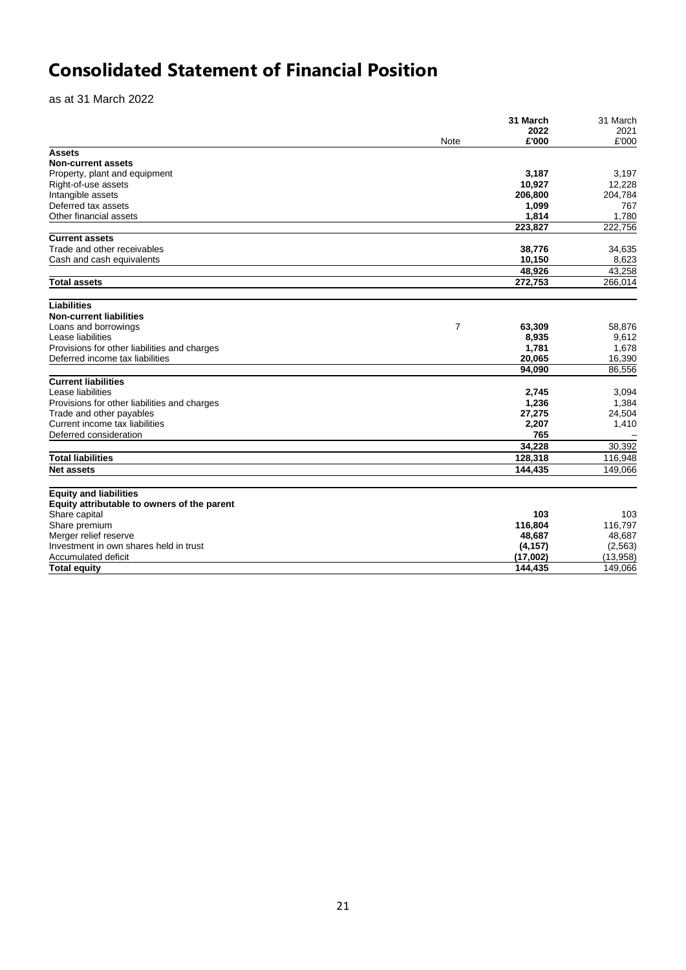# **Consolidated Statement of Financial Position**

as at 31 March 2022

| 2022<br>2021<br>£'000<br>Note<br><b>Assets</b><br><b>Non-current assets</b><br>Property, plant and equipment<br>3,187<br>10,927<br>Right-of-use assets<br>Intangible assets<br>206,800<br>Deferred tax assets<br>1,099<br>Other financial assets<br>1,814<br>1,780<br>223,827<br>222,756<br><b>Current assets</b><br>Trade and other receivables<br>38,776<br>34,635<br>Cash and cash equivalents<br>10,150<br>8,623<br>48,926<br>43,258<br>272,753<br><b>Total assets</b><br><b>Liabilities</b><br><b>Non-current liabilities</b><br>Loans and borrowings<br>7<br>63,309<br>58,876<br>Lease liabilities<br>8,935<br>9,612<br>1,781<br>Provisions for other liabilities and charges<br>1,678<br>20,065<br>16,390<br>Deferred income tax liabilities<br>86,556<br>94,090<br><b>Current liabilities</b><br>Lease liabilities<br>2,745<br>3,094<br>Provisions for other liabilities and charges<br>1,236<br>1,384<br>Trade and other payables<br>27,275<br>24,504<br>Current income tax liabilities<br>2,207<br>1,410<br>765<br>Deferred consideration<br>34,228<br>30,392<br><b>Total liabilities</b><br>116,948<br>128,318<br>149,066<br><b>Net assets</b><br>144,435<br><b>Equity and liabilities</b><br>Equity attributable to owners of the parent<br>103<br>Share capital<br>Share premium<br>116,804<br>Merger relief reserve<br>48,687<br>Investment in own shares held in trust<br>(4, 157)<br>(2, 563)<br>(17,002)<br>(13,958)<br>Accumulated deficit<br>144.435<br><b>Total equity</b><br>149,066 |  | 31 March | 31 March |
|-----------------------------------------------------------------------------------------------------------------------------------------------------------------------------------------------------------------------------------------------------------------------------------------------------------------------------------------------------------------------------------------------------------------------------------------------------------------------------------------------------------------------------------------------------------------------------------------------------------------------------------------------------------------------------------------------------------------------------------------------------------------------------------------------------------------------------------------------------------------------------------------------------------------------------------------------------------------------------------------------------------------------------------------------------------------------------------------------------------------------------------------------------------------------------------------------------------------------------------------------------------------------------------------------------------------------------------------------------------------------------------------------------------------------------------------------------------------------------------------------------------|--|----------|----------|
|                                                                                                                                                                                                                                                                                                                                                                                                                                                                                                                                                                                                                                                                                                                                                                                                                                                                                                                                                                                                                                                                                                                                                                                                                                                                                                                                                                                                                                                                                                           |  |          |          |
|                                                                                                                                                                                                                                                                                                                                                                                                                                                                                                                                                                                                                                                                                                                                                                                                                                                                                                                                                                                                                                                                                                                                                                                                                                                                                                                                                                                                                                                                                                           |  |          | £'000    |
|                                                                                                                                                                                                                                                                                                                                                                                                                                                                                                                                                                                                                                                                                                                                                                                                                                                                                                                                                                                                                                                                                                                                                                                                                                                                                                                                                                                                                                                                                                           |  |          |          |
|                                                                                                                                                                                                                                                                                                                                                                                                                                                                                                                                                                                                                                                                                                                                                                                                                                                                                                                                                                                                                                                                                                                                                                                                                                                                                                                                                                                                                                                                                                           |  |          |          |
|                                                                                                                                                                                                                                                                                                                                                                                                                                                                                                                                                                                                                                                                                                                                                                                                                                                                                                                                                                                                                                                                                                                                                                                                                                                                                                                                                                                                                                                                                                           |  |          | 3,197    |
|                                                                                                                                                                                                                                                                                                                                                                                                                                                                                                                                                                                                                                                                                                                                                                                                                                                                                                                                                                                                                                                                                                                                                                                                                                                                                                                                                                                                                                                                                                           |  |          | 12,228   |
|                                                                                                                                                                                                                                                                                                                                                                                                                                                                                                                                                                                                                                                                                                                                                                                                                                                                                                                                                                                                                                                                                                                                                                                                                                                                                                                                                                                                                                                                                                           |  |          | 204,784  |
|                                                                                                                                                                                                                                                                                                                                                                                                                                                                                                                                                                                                                                                                                                                                                                                                                                                                                                                                                                                                                                                                                                                                                                                                                                                                                                                                                                                                                                                                                                           |  |          | 767      |
|                                                                                                                                                                                                                                                                                                                                                                                                                                                                                                                                                                                                                                                                                                                                                                                                                                                                                                                                                                                                                                                                                                                                                                                                                                                                                                                                                                                                                                                                                                           |  |          |          |
|                                                                                                                                                                                                                                                                                                                                                                                                                                                                                                                                                                                                                                                                                                                                                                                                                                                                                                                                                                                                                                                                                                                                                                                                                                                                                                                                                                                                                                                                                                           |  |          |          |
|                                                                                                                                                                                                                                                                                                                                                                                                                                                                                                                                                                                                                                                                                                                                                                                                                                                                                                                                                                                                                                                                                                                                                                                                                                                                                                                                                                                                                                                                                                           |  |          |          |
|                                                                                                                                                                                                                                                                                                                                                                                                                                                                                                                                                                                                                                                                                                                                                                                                                                                                                                                                                                                                                                                                                                                                                                                                                                                                                                                                                                                                                                                                                                           |  |          |          |
|                                                                                                                                                                                                                                                                                                                                                                                                                                                                                                                                                                                                                                                                                                                                                                                                                                                                                                                                                                                                                                                                                                                                                                                                                                                                                                                                                                                                                                                                                                           |  |          |          |
|                                                                                                                                                                                                                                                                                                                                                                                                                                                                                                                                                                                                                                                                                                                                                                                                                                                                                                                                                                                                                                                                                                                                                                                                                                                                                                                                                                                                                                                                                                           |  |          |          |
|                                                                                                                                                                                                                                                                                                                                                                                                                                                                                                                                                                                                                                                                                                                                                                                                                                                                                                                                                                                                                                                                                                                                                                                                                                                                                                                                                                                                                                                                                                           |  |          | 266,014  |
|                                                                                                                                                                                                                                                                                                                                                                                                                                                                                                                                                                                                                                                                                                                                                                                                                                                                                                                                                                                                                                                                                                                                                                                                                                                                                                                                                                                                                                                                                                           |  |          |          |
|                                                                                                                                                                                                                                                                                                                                                                                                                                                                                                                                                                                                                                                                                                                                                                                                                                                                                                                                                                                                                                                                                                                                                                                                                                                                                                                                                                                                                                                                                                           |  |          |          |
|                                                                                                                                                                                                                                                                                                                                                                                                                                                                                                                                                                                                                                                                                                                                                                                                                                                                                                                                                                                                                                                                                                                                                                                                                                                                                                                                                                                                                                                                                                           |  |          |          |
|                                                                                                                                                                                                                                                                                                                                                                                                                                                                                                                                                                                                                                                                                                                                                                                                                                                                                                                                                                                                                                                                                                                                                                                                                                                                                                                                                                                                                                                                                                           |  |          |          |
|                                                                                                                                                                                                                                                                                                                                                                                                                                                                                                                                                                                                                                                                                                                                                                                                                                                                                                                                                                                                                                                                                                                                                                                                                                                                                                                                                                                                                                                                                                           |  |          |          |
|                                                                                                                                                                                                                                                                                                                                                                                                                                                                                                                                                                                                                                                                                                                                                                                                                                                                                                                                                                                                                                                                                                                                                                                                                                                                                                                                                                                                                                                                                                           |  |          |          |
|                                                                                                                                                                                                                                                                                                                                                                                                                                                                                                                                                                                                                                                                                                                                                                                                                                                                                                                                                                                                                                                                                                                                                                                                                                                                                                                                                                                                                                                                                                           |  |          |          |
|                                                                                                                                                                                                                                                                                                                                                                                                                                                                                                                                                                                                                                                                                                                                                                                                                                                                                                                                                                                                                                                                                                                                                                                                                                                                                                                                                                                                                                                                                                           |  |          |          |
|                                                                                                                                                                                                                                                                                                                                                                                                                                                                                                                                                                                                                                                                                                                                                                                                                                                                                                                                                                                                                                                                                                                                                                                                                                                                                                                                                                                                                                                                                                           |  |          |          |
|                                                                                                                                                                                                                                                                                                                                                                                                                                                                                                                                                                                                                                                                                                                                                                                                                                                                                                                                                                                                                                                                                                                                                                                                                                                                                                                                                                                                                                                                                                           |  |          |          |
|                                                                                                                                                                                                                                                                                                                                                                                                                                                                                                                                                                                                                                                                                                                                                                                                                                                                                                                                                                                                                                                                                                                                                                                                                                                                                                                                                                                                                                                                                                           |  |          |          |
|                                                                                                                                                                                                                                                                                                                                                                                                                                                                                                                                                                                                                                                                                                                                                                                                                                                                                                                                                                                                                                                                                                                                                                                                                                                                                                                                                                                                                                                                                                           |  |          |          |
|                                                                                                                                                                                                                                                                                                                                                                                                                                                                                                                                                                                                                                                                                                                                                                                                                                                                                                                                                                                                                                                                                                                                                                                                                                                                                                                                                                                                                                                                                                           |  |          |          |
|                                                                                                                                                                                                                                                                                                                                                                                                                                                                                                                                                                                                                                                                                                                                                                                                                                                                                                                                                                                                                                                                                                                                                                                                                                                                                                                                                                                                                                                                                                           |  |          |          |
|                                                                                                                                                                                                                                                                                                                                                                                                                                                                                                                                                                                                                                                                                                                                                                                                                                                                                                                                                                                                                                                                                                                                                                                                                                                                                                                                                                                                                                                                                                           |  |          |          |
|                                                                                                                                                                                                                                                                                                                                                                                                                                                                                                                                                                                                                                                                                                                                                                                                                                                                                                                                                                                                                                                                                                                                                                                                                                                                                                                                                                                                                                                                                                           |  |          |          |
|                                                                                                                                                                                                                                                                                                                                                                                                                                                                                                                                                                                                                                                                                                                                                                                                                                                                                                                                                                                                                                                                                                                                                                                                                                                                                                                                                                                                                                                                                                           |  |          |          |
|                                                                                                                                                                                                                                                                                                                                                                                                                                                                                                                                                                                                                                                                                                                                                                                                                                                                                                                                                                                                                                                                                                                                                                                                                                                                                                                                                                                                                                                                                                           |  |          |          |
|                                                                                                                                                                                                                                                                                                                                                                                                                                                                                                                                                                                                                                                                                                                                                                                                                                                                                                                                                                                                                                                                                                                                                                                                                                                                                                                                                                                                                                                                                                           |  |          |          |
|                                                                                                                                                                                                                                                                                                                                                                                                                                                                                                                                                                                                                                                                                                                                                                                                                                                                                                                                                                                                                                                                                                                                                                                                                                                                                                                                                                                                                                                                                                           |  |          | 103      |
|                                                                                                                                                                                                                                                                                                                                                                                                                                                                                                                                                                                                                                                                                                                                                                                                                                                                                                                                                                                                                                                                                                                                                                                                                                                                                                                                                                                                                                                                                                           |  |          | 116,797  |
|                                                                                                                                                                                                                                                                                                                                                                                                                                                                                                                                                                                                                                                                                                                                                                                                                                                                                                                                                                                                                                                                                                                                                                                                                                                                                                                                                                                                                                                                                                           |  |          | 48,687   |
|                                                                                                                                                                                                                                                                                                                                                                                                                                                                                                                                                                                                                                                                                                                                                                                                                                                                                                                                                                                                                                                                                                                                                                                                                                                                                                                                                                                                                                                                                                           |  |          |          |
|                                                                                                                                                                                                                                                                                                                                                                                                                                                                                                                                                                                                                                                                                                                                                                                                                                                                                                                                                                                                                                                                                                                                                                                                                                                                                                                                                                                                                                                                                                           |  |          |          |
|                                                                                                                                                                                                                                                                                                                                                                                                                                                                                                                                                                                                                                                                                                                                                                                                                                                                                                                                                                                                                                                                                                                                                                                                                                                                                                                                                                                                                                                                                                           |  |          |          |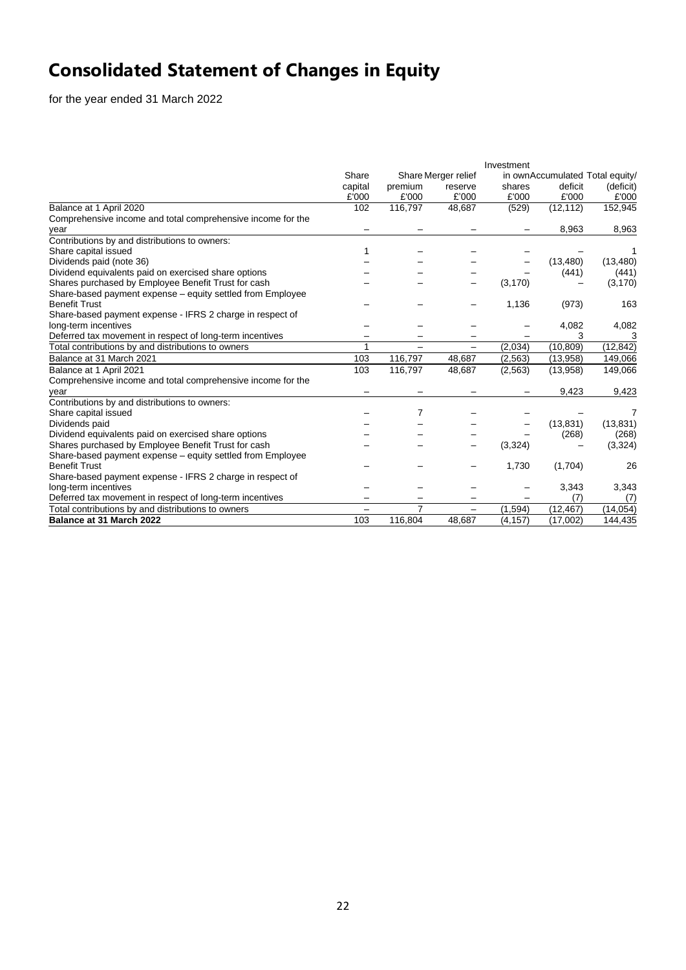# **Consolidated Statement of Changes in Equity**

for the year ended 31 March 2022

|                                                             |                              |         |                          | Investment                      |           |           |
|-------------------------------------------------------------|------------------------------|---------|--------------------------|---------------------------------|-----------|-----------|
|                                                             | Share<br>Share Merger relief |         |                          | in ownAccumulated Total equity/ |           |           |
|                                                             | capital                      | premium | reserve                  | shares                          | deficit   | (deficit) |
|                                                             | £'000                        | £'000   | £'000                    | £'000                           | £'000     | £'000     |
| Balance at 1 April 2020                                     | 102                          | 116,797 | 48,687                   | (529)                           | (12, 112) | 152,945   |
| Comprehensive income and total comprehensive income for the |                              |         |                          |                                 |           |           |
| year                                                        |                              |         |                          |                                 | 8,963     | 8,963     |
| Contributions by and distributions to owners:               |                              |         |                          |                                 |           |           |
| Share capital issued                                        |                              |         |                          |                                 |           |           |
| Dividends paid (note 36)                                    |                              |         |                          |                                 | (13, 480) | (13, 480) |
| Dividend equivalents paid on exercised share options        |                              |         |                          |                                 | (441)     | (441)     |
| Shares purchased by Employee Benefit Trust for cash         |                              |         |                          | (3, 170)                        |           | (3, 170)  |
| Share-based payment expense - equity settled from Employee  |                              |         |                          |                                 |           |           |
| <b>Benefit Trust</b>                                        |                              |         |                          | 1,136                           | (973)     | 163       |
| Share-based payment expense - IFRS 2 charge in respect of   |                              |         |                          |                                 |           |           |
| long-term incentives                                        |                              |         |                          |                                 | 4,082     | 4,082     |
| Deferred tax movement in respect of long-term incentives    |                              |         |                          |                                 | 3         | З         |
| Total contributions by and distributions to owners          | 1                            |         | $\overline{\phantom{m}}$ | (2,034)                         | (10, 809) | (12, 842) |
| Balance at 31 March 2021                                    | 103                          | 116,797 | 48,687                   | (2, 563)                        | (13,958)  | 149,066   |
| Balance at 1 April 2021                                     | 103                          | 116,797 | 48,687                   | (2, 563)                        | (13,958)  | 149,066   |
| Comprehensive income and total comprehensive income for the |                              |         |                          |                                 |           |           |
| vear                                                        |                              |         |                          |                                 | 9,423     | 9,423     |
| Contributions by and distributions to owners:               |                              |         |                          |                                 |           |           |
| Share capital issued                                        |                              | 7       |                          |                                 |           | 7         |
| Dividends paid                                              |                              |         |                          |                                 | (13, 831) | (13, 831) |
| Dividend equivalents paid on exercised share options        |                              |         |                          |                                 | (268)     | (268)     |
| Shares purchased by Employee Benefit Trust for cash         |                              |         |                          | (3,324)                         |           | (3, 324)  |
| Share-based payment expense – equity settled from Employee  |                              |         |                          |                                 |           |           |
| <b>Benefit Trust</b>                                        |                              |         |                          | 1,730                           | (1,704)   | 26        |
| Share-based payment expense - IFRS 2 charge in respect of   |                              |         |                          |                                 |           |           |
| long-term incentives                                        |                              |         |                          |                                 | 3,343     | 3,343     |
| Deferred tax movement in respect of long-term incentives    |                              |         |                          |                                 | (7)       | (7)       |
| Total contributions by and distributions to owners          |                              | 7       |                          | (1,594)                         | (12, 467) | (14, 054) |
| Balance at 31 March 2022                                    | 103                          | 116,804 | 48.687                   | (4, 157)                        | (17,002)  | 144,435   |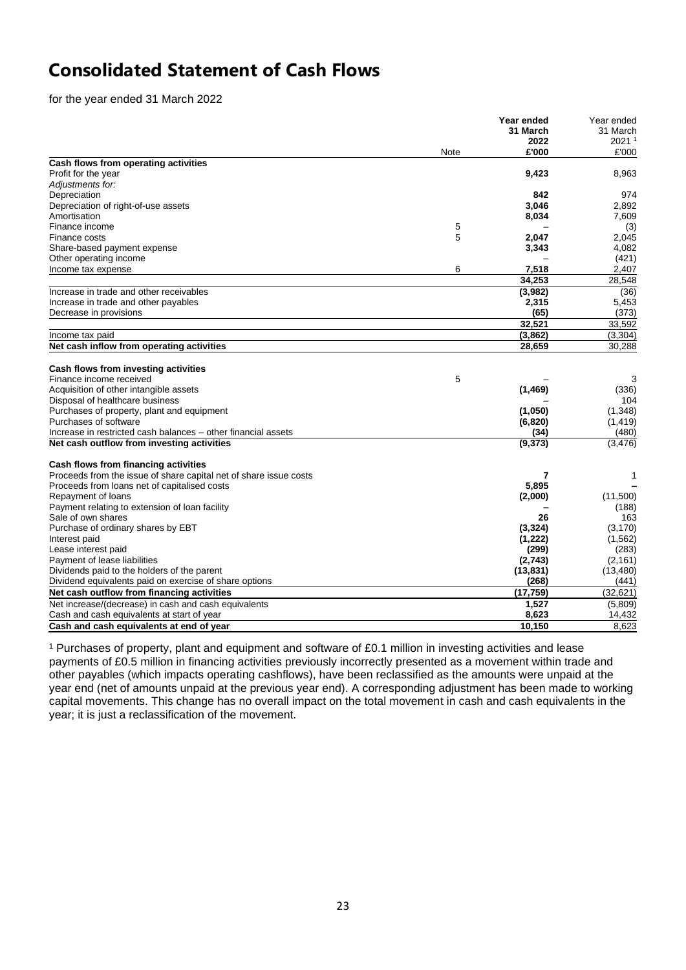# **Consolidated Statement of Cash Flows**

for the year ended 31 March 2022

|                                                                   |      | Year ended | Year ended        |
|-------------------------------------------------------------------|------|------------|-------------------|
|                                                                   |      | 31 March   | 31 March          |
|                                                                   |      | 2022       | 2021 <sup>1</sup> |
|                                                                   | Note | £'000      | £'000             |
| Cash flows from operating activities                              |      |            |                   |
| Profit for the year                                               |      | 9,423      | 8,963             |
| Adjustments for:                                                  |      |            |                   |
| Depreciation                                                      |      | 842        | 974               |
| Depreciation of right-of-use assets                               |      | 3,046      | 2,892             |
| Amortisation                                                      |      | 8,034      | 7,609             |
| Finance income                                                    | 5    |            | (3)               |
| Finance costs                                                     | 5    | 2,047      | 2,045             |
| Share-based payment expense                                       |      | 3,343      | 4,082             |
| Other operating income                                            |      |            | (421)             |
| Income tax expense                                                | 6    | 7,518      | 2,407             |
|                                                                   |      | 34.253     | 28,548            |
| Increase in trade and other receivables                           |      | (3,982)    | (36)              |
| Increase in trade and other payables                              |      | 2,315      | 5,453             |
| Decrease in provisions                                            |      | (65)       | (373)             |
|                                                                   |      | 32,521     | 33,592            |
| Income tax paid                                                   |      | (3,862)    | (3, 304)          |
| Net cash inflow from operating activities                         |      | 28,659     | 30,288            |
|                                                                   |      |            |                   |
| Cash flows from investing activities                              |      |            |                   |
| Finance income received                                           | 5    |            | 3                 |
| Acquisition of other intangible assets                            |      | (1, 469)   | (336)             |
| Disposal of healthcare business                                   |      |            | 104               |
| Purchases of property, plant and equipment                        |      | (1,050)    | (1,348)           |
| Purchases of software                                             |      | (6, 820)   | (1, 419)          |
| Increase in restricted cash balances – other financial assets     |      | (34)       | (480)             |
| Net cash outflow from investing activities                        |      | (9, 373)   | (3, 476)          |
| Cash flows from financing activities                              |      |            |                   |
| Proceeds from the issue of share capital net of share issue costs |      | 7          | 1                 |
| Proceeds from loans net of capitalised costs                      |      | 5,895      |                   |
| Repayment of loans                                                |      | (2,000)    | (11,500)          |
| Payment relating to extension of loan facility                    |      |            | (188)             |
| Sale of own shares                                                |      | 26         | 163               |
| Purchase of ordinary shares by EBT                                |      | (3, 324)   | (3, 170)          |
| Interest paid                                                     |      | (1,222)    | (1, 562)          |
| Lease interest paid                                               |      | (299)      | (283)             |
| Payment of lease liabilities                                      |      | (2,743)    | (2, 161)          |
| Dividends paid to the holders of the parent                       |      | (13, 831)  | (13, 480)         |
| Dividend equivalents paid on exercise of share options            |      | (268)      | (441)             |
| Net cash outflow from financing activities                        |      | (17, 759)  | (32, 621)         |
|                                                                   |      |            |                   |
| Net increase/(decrease) in cash and cash equivalents              |      | 1,527      | (5,809)           |
| Cash and cash equivalents at start of year                        |      | 8,623      | 14,432            |
| Cash and cash equivalents at end of year                          |      | 10,150     | 8,623             |

<sup>1</sup> Purchases of property, plant and equipment and software of £0.1 million in investing activities and lease payments of £0.5 million in financing activities previously incorrectly presented as a movement within trade and other payables (which impacts operating cashflows), have been reclassified as the amounts were unpaid at the year end (net of amounts unpaid at the previous year end). A corresponding adjustment has been made to working capital movements. This change has no overall impact on the total movement in cash and cash equivalents in the year; it is just a reclassification of the movement.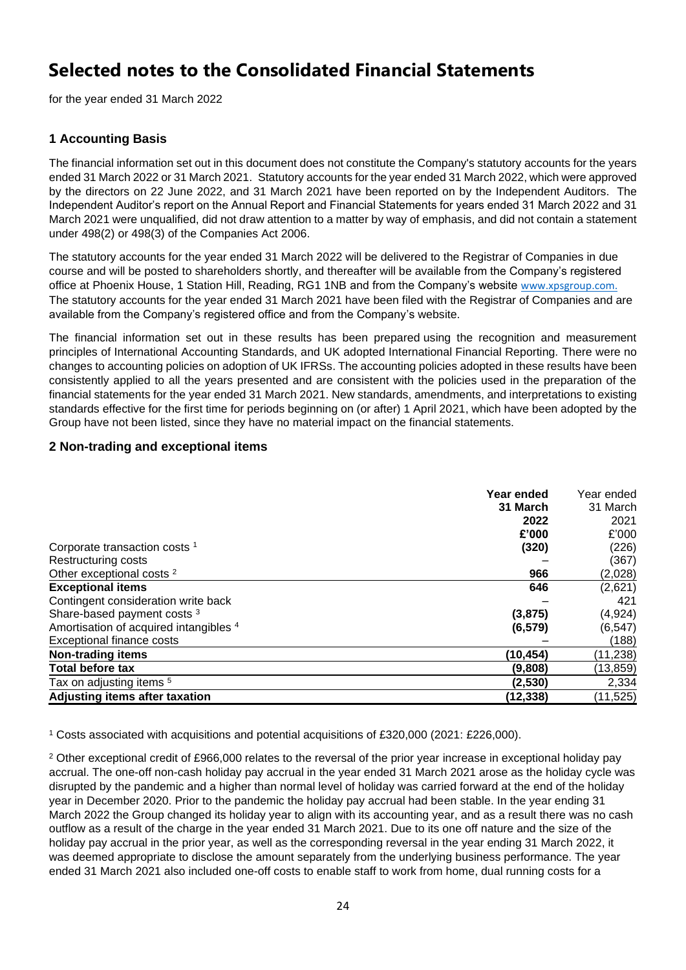# **Selected notes to the Consolidated Financial Statements**

for the year ended 31 March 2022

# **1 Accounting Basis**

The financial information set out in this document does not constitute the Company's statutory accounts for the years ended 31 March 2022 or 31 March 2021. Statutory accounts for the year ended 31 March 2022, which were approved by the directors on 22 June 2022, and 31 March 2021 have been reported on by the Independent Auditors. The Independent Auditor's report on the Annual Report and Financial Statements for years ended 31 March 2022 and 31 March 2021 were unqualified, did not draw attention to a matter by way of emphasis, and did not contain a statement under 498(2) or 498(3) of the Companies Act 2006.

The statutory accounts for the year ended 31 March 2022 will be delivered to the Registrar of Companies in due course and will be posted to shareholders shortly, and thereafter will be available from the Company's registered office at Phoenix House, 1 Station Hill, Reading, RG1 1NB and from the Company's website [www.xpsgroup.com.](http://www.xpsgroup.com/) The statutory accounts for the year ended 31 March 2021 have been filed with the Registrar of Companies and are available from the Company's registered office and from the Company's website.

The financial information set out in these results has been prepared using the recognition and measurement principles of International Accounting Standards, and UK adopted International Financial Reporting. There were no changes to accounting policies on adoption of UK IFRSs. The accounting policies adopted in these results have been consistently applied to all the years presented and are consistent with the policies used in the preparation of the financial statements for the year ended 31 March 2021. New standards, amendments, and interpretations to existing standards effective for the first time for periods beginning on (or after) 1 April 2021, which have been adopted by the Group have not been listed, since they have no material impact on the financial statements.

# **2 Non-trading and exceptional items**

|                                          | Year ended<br>31 March<br>2022 | Year ended<br>31 March<br>2021 |
|------------------------------------------|--------------------------------|--------------------------------|
|                                          | £'000                          | £'000                          |
| Corporate transaction costs <sup>1</sup> | (320)                          | (226)                          |
| Restructuring costs                      |                                | (367)                          |
| Other exceptional costs <sup>2</sup>     | 966                            | (2,028)                        |
| <b>Exceptional items</b>                 | 646                            | (2,621)                        |
| Contingent consideration write back      |                                | 421                            |
| Share-based payment costs <sup>3</sup>   | (3,875)                        | (4, 924)                       |
| Amortisation of acquired intangibles 4   | (6, 579)                       | (6, 547)                       |
| Exceptional finance costs                |                                | (188)                          |
| <b>Non-trading items</b>                 | (10, 454)                      | (11, 238)                      |
| <b>Total before tax</b>                  | (9,808)                        | (13,859)                       |
| Tax on adjusting items <sup>5</sup>      | (2,530)                        | 2,334                          |
| Adjusting items after taxation           | (12, 338)                      | (11, 525)                      |

<sup>1</sup> Costs associated with acquisitions and potential acquisitions of £320,000 (2021: £226,000).

<sup>2</sup> Other exceptional credit of £966,000 relates to the reversal of the prior year increase in exceptional holiday pay accrual. The one-off non-cash holiday pay accrual in the year ended 31 March 2021 arose as the holiday cycle was disrupted by the pandemic and a higher than normal level of holiday was carried forward at the end of the holiday year in December 2020. Prior to the pandemic the holiday pay accrual had been stable. In the year ending 31 March 2022 the Group changed its holiday year to align with its accounting year, and as a result there was no cash outflow as a result of the charge in the year ended 31 March 2021. Due to its one off nature and the size of the holiday pay accrual in the prior year, as well as the corresponding reversal in the year ending 31 March 2022, it was deemed appropriate to disclose the amount separately from the underlying business performance. The year ended 31 March 2021 also included one-off costs to enable staff to work from home, dual running costs for a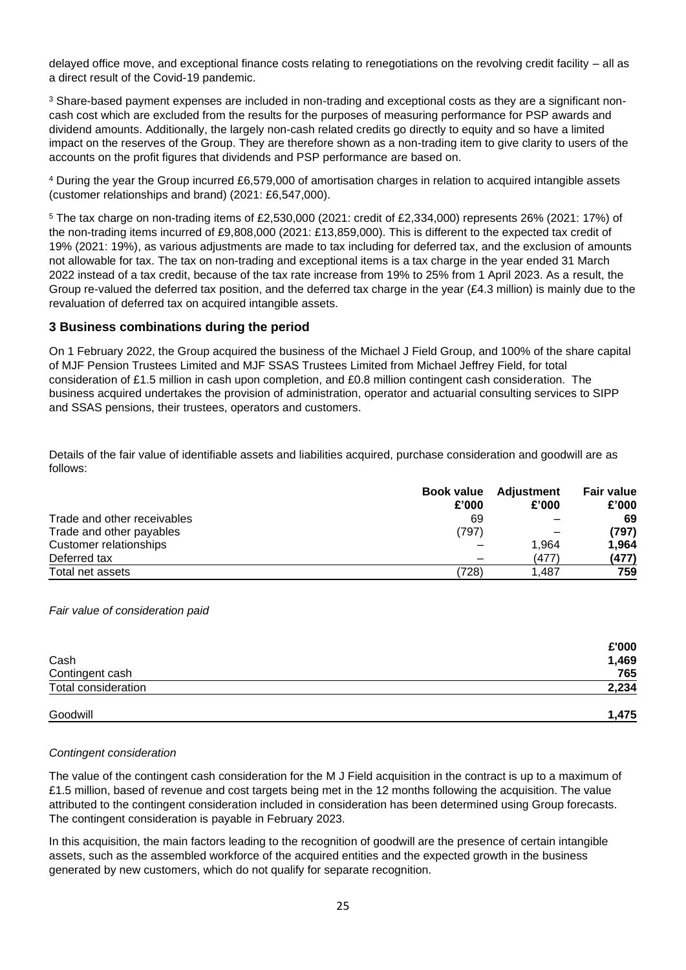delayed office move, and exceptional finance costs relating to renegotiations on the revolving credit facility – all as a direct result of the Covid-19 pandemic.

<sup>3</sup> Share-based payment expenses are included in non-trading and exceptional costs as they are a significant noncash cost which are excluded from the results for the purposes of measuring performance for PSP awards and dividend amounts. Additionally, the largely non-cash related credits go directly to equity and so have a limited impact on the reserves of the Group. They are therefore shown as a non-trading item to give clarity to users of the accounts on the profit figures that dividends and PSP performance are based on.

<sup>4</sup> During the year the Group incurred £6,579,000 of amortisation charges in relation to acquired intangible assets (customer relationships and brand) (2021: £6,547,000).

<sup>5</sup> The tax charge on non-trading items of £2,530,000 (2021: credit of £2,334,000) represents 26% (2021: 17%) of the non-trading items incurred of £9,808,000 (2021: £13,859,000). This is different to the expected tax credit of 19% (2021: 19%), as various adjustments are made to tax including for deferred tax, and the exclusion of amounts not allowable for tax. The tax on non-trading and exceptional items is a tax charge in the year ended 31 March 2022 instead of a tax credit, because of the tax rate increase from 19% to 25% from 1 April 2023. As a result, the Group re-valued the deferred tax position, and the deferred tax charge in the year ( $£4.3$  million) is mainly due to the revaluation of deferred tax on acquired intangible assets.

# **3 Business combinations during the period**

On 1 February 2022, the Group acquired the business of the Michael J Field Group, and 100% of the share capital of MJF Pension Trustees Limited and MJF SSAS Trustees Limited from Michael Jeffrey Field, for total consideration of £1.5 million in cash upon completion, and £0.8 million contingent cash consideration. The business acquired undertakes the provision of administration, operator and actuarial consulting services to SIPP and SSAS pensions, their trustees, operators and customers.

Details of the fair value of identifiable assets and liabilities acquired, purchase consideration and goodwill are as follows:

|                             |       | <b>Book value</b> Adjustment | <b>Fair value</b> |
|-----------------------------|-------|------------------------------|-------------------|
|                             | £'000 | £'000                        | £'000             |
| Trade and other receivables | 69    |                              | 69                |
| Trade and other payables    | (797) |                              | (797)             |
| Customer relationships      |       | 1,964                        | 1.964             |
| Deferred tax                |       | (477)                        | (477)             |
| Total net assets            | (728) | 1.487                        | 759               |

*Fair value of consideration paid*

|                     | £'000 |
|---------------------|-------|
| Cash                | 1,469 |
| Contingent cash     | 765   |
| Total consideration | 2,234 |
| Goodwill            | 1,475 |

# *Contingent consideration*

The value of the contingent cash consideration for the M J Field acquisition in the contract is up to a maximum of £1.5 million, based of revenue and cost targets being met in the 12 months following the acquisition. The value attributed to the contingent consideration included in consideration has been determined using Group forecasts. The contingent consideration is payable in February 2023.

In this acquisition, the main factors leading to the recognition of goodwill are the presence of certain intangible assets, such as the assembled workforce of the acquired entities and the expected growth in the business generated by new customers, which do not qualify for separate recognition.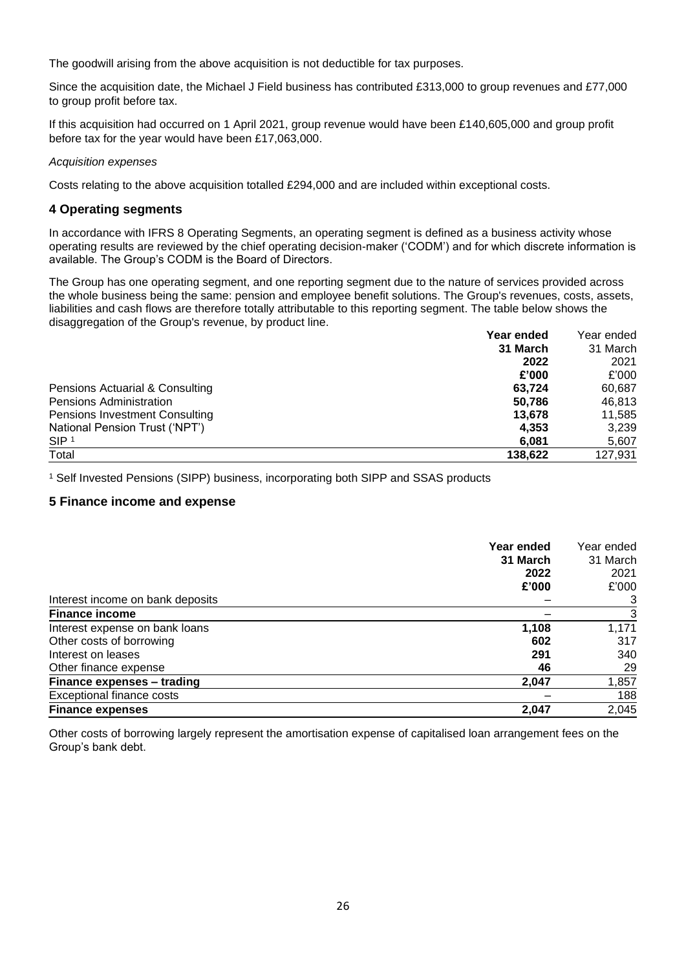The goodwill arising from the above acquisition is not deductible for tax purposes.

Since the acquisition date, the Michael J Field business has contributed £313,000 to group revenues and £77,000 to group profit before tax.

If this acquisition had occurred on 1 April 2021, group revenue would have been £140,605,000 and group profit before tax for the year would have been £17,063,000.

### *Acquisition expenses*

Costs relating to the above acquisition totalled £294,000 and are included within exceptional costs.

# **4 Operating segments**

In accordance with IFRS 8 Operating Segments, an operating segment is defined as a business activity whose operating results are reviewed by the chief operating decision-maker ('CODM') and for which discrete information is available. The Group's CODM is the Board of Directors.

The Group has one operating segment, and one reporting segment due to the nature of services provided across the whole business being the same: pension and employee benefit solutions. The Group's revenues, costs, assets, liabilities and cash flows are therefore totally attributable to this reporting segment. The table below shows the disaggregation of the Group's revenue, by product line.

|                                 | Year ended | Year ended |
|---------------------------------|------------|------------|
|                                 | 31 March   | 31 March   |
|                                 | 2022       | 2021       |
|                                 | £'000      | £'000      |
| Pensions Actuarial & Consulting | 63,724     | 60,687     |
| <b>Pensions Administration</b>  | 50,786     | 46,813     |
| Pensions Investment Consulting  | 13.678     | 11,585     |
| National Pension Trust ('NPT')  | 4,353      | 3,239      |
| SIP <sup>1</sup>                | 6,081      | 5,607      |
| Total                           | 138,622    | 127,931    |

<sup>1</sup> Self Invested Pensions (SIPP) business, incorporating both SIPP and SSAS products

# **5 Finance income and expense**

| Year ended<br>31 March<br>2022                            | Year ended<br>31 March<br>2021 |
|-----------------------------------------------------------|--------------------------------|
| £'000                                                     | £'000                          |
| Interest income on bank deposits<br><b>Finance income</b> | 3<br>3                         |
| Interest expense on bank loans<br>1,108                   | 1,171                          |
| Other costs of borrowing<br>602                           | 317                            |
| Interest on leases<br>291                                 | 340                            |
| Other finance expense<br>46                               | 29                             |
| Finance expenses - trading<br>2,047                       | 1,857                          |
| <b>Exceptional finance costs</b>                          | 188                            |
| 2,047<br><b>Finance expenses</b>                          | 2,045                          |

Other costs of borrowing largely represent the amortisation expense of capitalised loan arrangement fees on the Group's bank debt.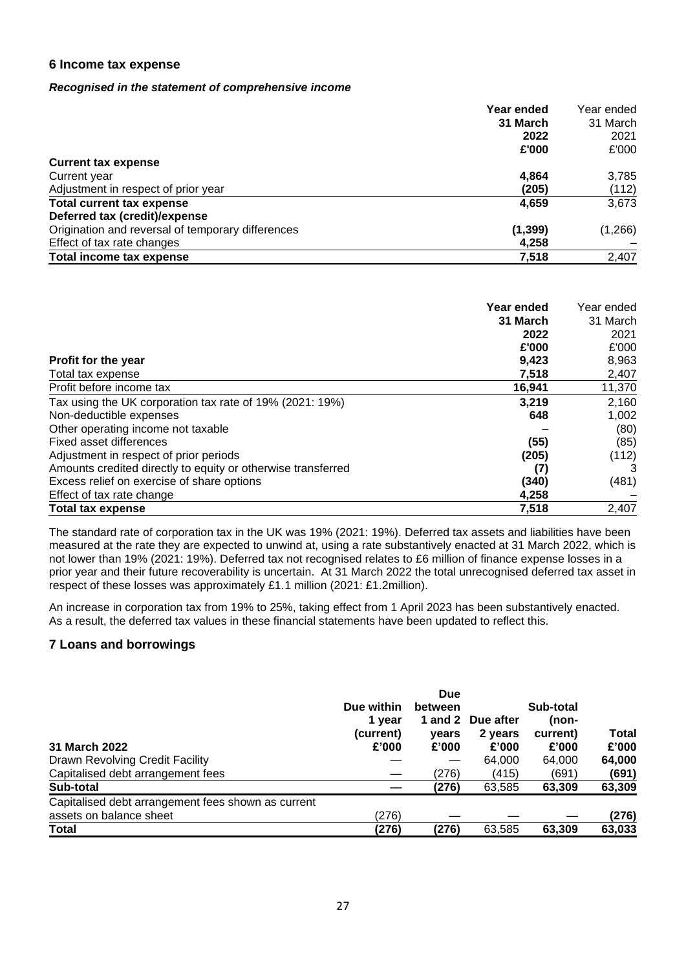# **6 Income tax expense**

# *Recognised in the statement of comprehensive income*

| Year ended                                                    | Year ended |
|---------------------------------------------------------------|------------|
| 31 March                                                      | 31 March   |
| 2022                                                          | 2021       |
| £'000                                                         | £'000      |
| <b>Current tax expense</b>                                    |            |
| 4,864<br>Current year                                         | 3,785      |
| Adjustment in respect of prior year<br>(205)                  | (112)      |
| Total current tax expense<br>4,659                            | 3,673      |
| Deferred tax (credit)/expense                                 |            |
| Origination and reversal of temporary differences<br>(1, 399) | (1,266)    |
| Effect of tax rate changes<br>4,258                           |            |
| <b>Total income tax expense</b><br>7,518                      | 2,407      |

|                                                              | Year ended<br>31 March<br>2022 | Year ended<br>31 March<br>2021 |
|--------------------------------------------------------------|--------------------------------|--------------------------------|
|                                                              | £'000                          | £'000                          |
| Profit for the year                                          | 9,423                          | 8,963                          |
| Total tax expense                                            | 7,518                          | 2,407                          |
| Profit before income tax                                     | 16,941                         | 11,370                         |
| Tax using the UK corporation tax rate of 19% (2021: 19%)     | 3,219                          | 2,160                          |
| Non-deductible expenses                                      | 648                            | 1,002                          |
| Other operating income not taxable                           |                                | (80)                           |
| Fixed asset differences                                      | (55)                           | (85)                           |
| Adjustment in respect of prior periods                       | (205)                          | (112)                          |
| Amounts credited directly to equity or otherwise transferred | (7)                            | 3                              |
| Excess relief on exercise of share options                   | (340)                          | (481)                          |
| Effect of tax rate change                                    | 4,258                          |                                |
| <b>Total tax expense</b>                                     | 7,518                          | 2,407                          |

The standard rate of corporation tax in the UK was 19% (2021: 19%). Deferred tax assets and liabilities have been measured at the rate they are expected to unwind at, using a rate substantively enacted at 31 March 2022, which is not lower than 19% (2021: 19%). Deferred tax not recognised relates to £6 million of finance expense losses in a prior year and their future recoverability is uncertain. At 31 March 2022 the total unrecognised deferred tax asset in respect of these losses was approximately £1.1 million (2021: £1.2million).

An increase in corporation tax from 19% to 25%, taking effect from 1 April 2023 has been substantively enacted. As a result, the deferred tax values in these financial statements have been updated to reflect this.

# **7 Loans and borrowings**

| 31 March 2022                                      | Due within<br>1 year<br>(current)<br>£'000 | <b>Due</b><br>between<br>vears<br>£'000 | 1 and 2 Due after<br>2 years<br>£'000 | Sub-total<br>(non-<br>current)<br>£'000 | Total<br>£'000 |
|----------------------------------------------------|--------------------------------------------|-----------------------------------------|---------------------------------------|-----------------------------------------|----------------|
| Drawn Revolving Credit Facility                    |                                            |                                         | 64,000                                | 64.000                                  | 64,000         |
| Capitalised debt arrangement fees                  |                                            | (276)                                   | (415)                                 | (691)                                   | (691)          |
| Sub-total                                          |                                            | (276)                                   | 63,585                                | 63,309                                  | 63,309         |
| Capitalised debt arrangement fees shown as current |                                            |                                         |                                       |                                         |                |
| assets on balance sheet                            | (276)                                      |                                         |                                       |                                         | (276)          |
| <b>Total</b>                                       | (276)                                      | (276)                                   | 63,585                                | 63,309                                  | 63,033         |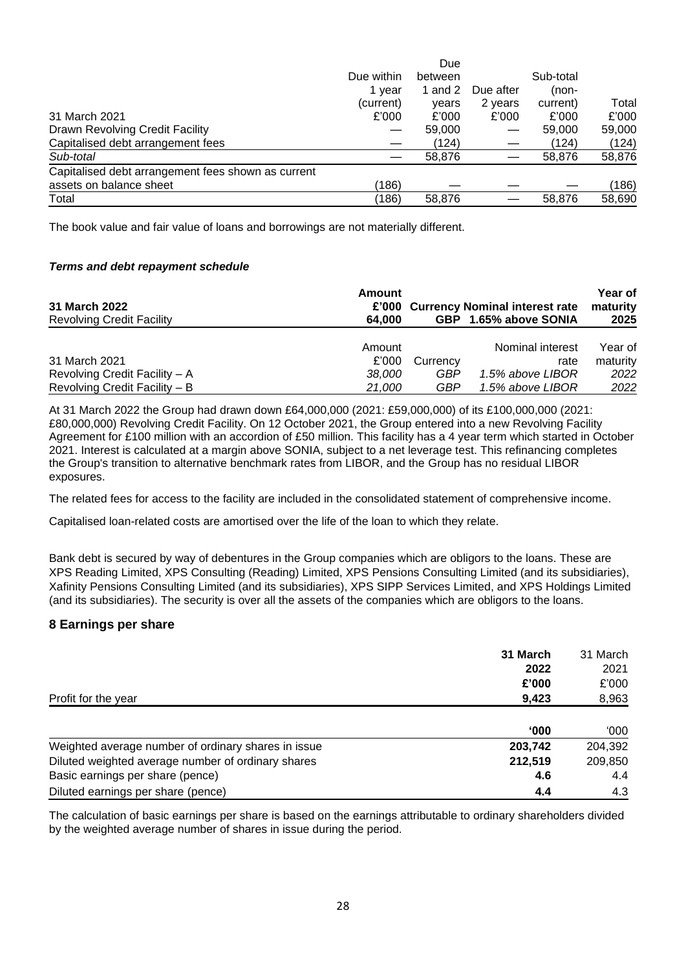|                                                    |            | Due       |           |           |        |
|----------------------------------------------------|------------|-----------|-----------|-----------|--------|
|                                                    | Due within | between   |           | Sub-total |        |
|                                                    | 1 year     | 1 and $2$ | Due after | (non-     |        |
|                                                    | (current)  | vears     | 2 years   | current)  | Total  |
| 31 March 2021                                      | £'000      | £'000     | £'000     | £'000     | £'000  |
| Drawn Revolving Credit Facility                    |            | 59,000    |           | 59,000    | 59,000 |
| Capitalised debt arrangement fees                  |            | (124)     |           | (124)     | (124)  |
| Sub-total                                          |            | 58,876    |           | 58,876    | 58,876 |
| Capitalised debt arrangement fees shown as current |            |           |           |           |        |
| assets on balance sheet                            | (186)      |           |           |           | (186)  |
| Total                                              | (186)      | 58,876    |           | 58.876    | 58.690 |

The book value and fair value of loans and borrowings are not materially different.

# *Terms and debt repayment schedule*

| <b>31 March 2022</b><br><b>Revolving Credit Facility</b> | Amount<br>64.000 |          | £'000 Currency Nominal interest rate<br>GBP 1.65% above SONIA | Year of<br>maturity<br>2025 |
|----------------------------------------------------------|------------------|----------|---------------------------------------------------------------|-----------------------------|
|                                                          | Amount           |          | Nominal interest                                              | Year of                     |
| 31 March 2021                                            | £'000            | Currency | rate                                                          | maturity                    |
| Revolving Credit Facility - A                            | 38.000           | GBP      | 1.5% above LIBOR                                              | 2022                        |
| Revolving Credit Facility - B                            | 21.000           | GBP      | 1.5% above LIBOR                                              | 2022                        |

At 31 March 2022 the Group had drawn down £64,000,000 (2021: £59,000,000) of its £100,000,000 (2021: £80,000,000) Revolving Credit Facility. On 12 October 2021, the Group entered into a new Revolving Facility Agreement for £100 million with an accordion of £50 million. This facility has a 4 year term which started in October 2021. Interest is calculated at a margin above SONIA, subject to a net leverage test. This refinancing completes the Group's transition to alternative benchmark rates from LIBOR, and the Group has no residual LIBOR exposures.

The related fees for access to the facility are included in the consolidated statement of comprehensive income.

Capitalised loan-related costs are amortised over the life of the loan to which they relate.

Bank debt is secured by way of debentures in the Group companies which are obligors to the loans. These are XPS Reading Limited, XPS Consulting (Reading) Limited, XPS Pensions Consulting Limited (and its subsidiaries), Xafinity Pensions Consulting Limited (and its subsidiaries), XPS SIPP Services Limited, and XPS Holdings Limited (and its subsidiaries). The security is over all the assets of the companies which are obligors to the loans.

# **8 Earnings per share**

|                                                     | 31 March | 31 March      |
|-----------------------------------------------------|----------|---------------|
|                                                     | 2022     | 2021          |
|                                                     | £'000    | £'000         |
| Profit for the year                                 | 9,423    | 8,963         |
|                                                     | 000'     | $000^{\circ}$ |
| Weighted average number of ordinary shares in issue | 203,742  | 204,392       |
| Diluted weighted average number of ordinary shares  | 212,519  | 209,850       |
| Basic earnings per share (pence)                    | 4.6      | 4.4           |
| Diluted earnings per share (pence)                  | 4.4      | 4.3           |

The calculation of basic earnings per share is based on the earnings attributable to ordinary shareholders divided by the weighted average number of shares in issue during the period.